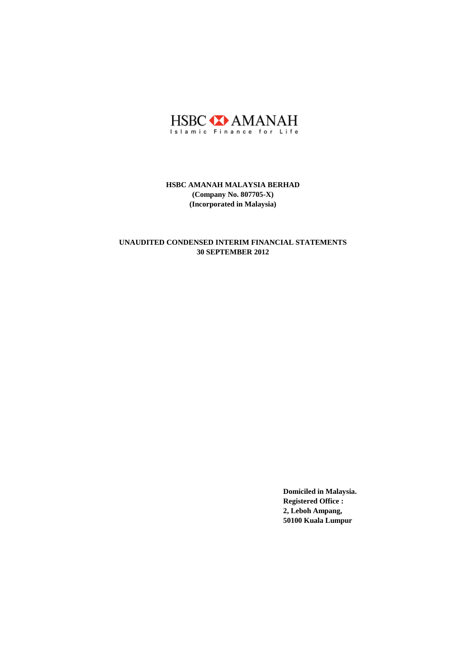

## **30 SEPTEMBER 2012 UNAUDITED CONDENSED INTERIM FINANCIAL STATEMENTS**

**Domiciled in Malaysia. Registered Office : 2, Leboh Ampang, 50100 Kuala Lumpur**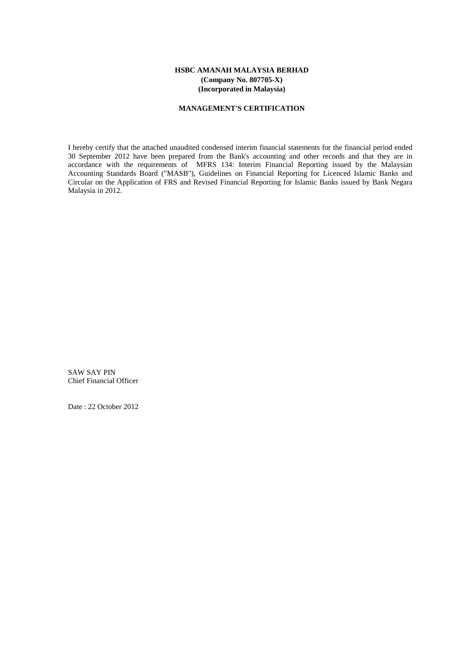#### **MANAGEMENT'S CERTIFICATION**

I hereby certify that the attached unaudited condensed interim financial statements for the financial period ended 30 September 2012 have been prepared from the Bank's accounting and other records and that they are in accordance with the requirements of MFRS 134: Interim Financial Reporting issued by the Malaysian Accounting Standards Board ("MASB"), Guidelines on Financial Reporting for Licenced Islamic Banks and Circular on the Application of FRS and Revised Financial Reporting for Islamic Banks issued by Bank Negara Malaysia in 2012.

SAW SAY PIN Chief Financial Officer

Date : 22 October 2012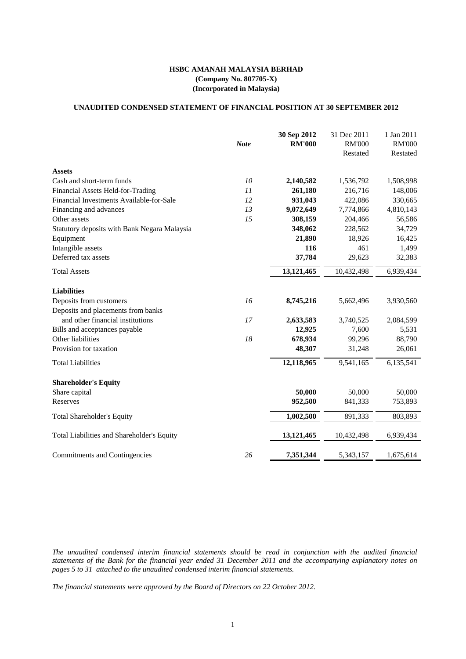#### **UNAUDITED CONDENSED STATEMENT OF FINANCIAL POSITION AT 30 SEPTEMBER 2012**

|    | 2,140,582  | 1,536,792  | 1,508,998 |
|----|------------|------------|-----------|
| 11 | 261,180    | 216,716    | 148,006   |
| 12 | 931,043    | 422,086    | 330,665   |
| 13 | 9,072,649  | 7,774,866  | 4,810,143 |
| 15 | 308,159    | 204,466    | 56,586    |
|    | 348,062    | 228,562    | 34,729    |
|    | 21,890     | 18,926     | 16,425    |
|    | 116        | 461        | 1,499     |
|    | 37,784     | 29,623     | 32,383    |
|    | 13,121,465 | 10,432,498 | 6,939,434 |
|    |            |            |           |
| 16 | 8,745,216  | 5,662,496  | 3,930,560 |
|    |            |            |           |
| 17 | 2,633,583  | 3,740,525  | 2,084,599 |
|    | 12,925     | 7,600      | 5,531     |
| 18 | 678,934    | 99,296     | 88,790    |
|    | 48,307     | 31,248     | 26,061    |
|    | 12,118,965 | 9,541,165  | 6,135,541 |
|    |            |            |           |
|    | 50,000     | 50,000     | 50,000    |
|    | 952,500    | 841,333    | 753,893   |
|    | 1,002,500  | 891,333    | 803,893   |
|    | 13,121,465 | 10,432,498 | 6,939,434 |
| 26 | 7,351,344  | 5,343,157  | 1,675,614 |
|    | 10         |            |           |

*The unaudited condensed interim financial statements should be read in conjunction with the audited financial* statements of the Bank for the financial year ended 31 December 2011 and the accompanying explanatory notes on *pages 5 to 31 attached to the unaudited condensed interim financial statements.*

*The financial statements were approved by the Board of Directors on 22 October 2012.*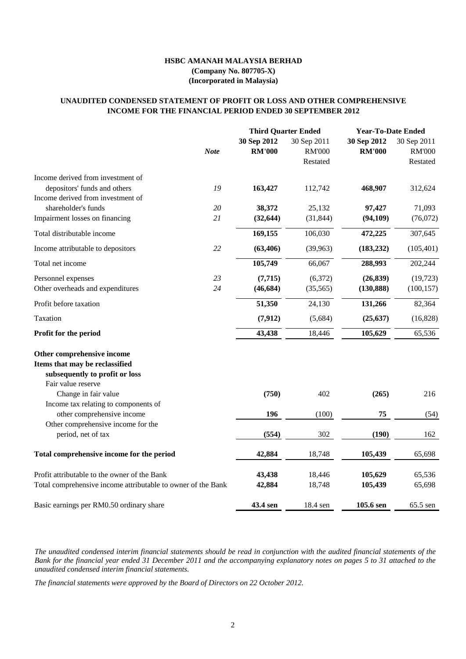|                                                                                                                                              |             | <b>Third Quarter Ended</b>   |                                          | <b>Year-To-Date Ended</b>    |                                                 |
|----------------------------------------------------------------------------------------------------------------------------------------------|-------------|------------------------------|------------------------------------------|------------------------------|-------------------------------------------------|
|                                                                                                                                              | <b>Note</b> | 30 Sep 2012<br><b>RM'000</b> | 30 Sep 2011<br><b>RM'000</b><br>Restated | 30 Sep 2012<br><b>RM'000</b> | 30 Sep 2011<br><b>RM'000</b><br><b>Restated</b> |
| Income derived from investment of                                                                                                            |             |                              |                                          |                              |                                                 |
| depositors' funds and others                                                                                                                 | 19          | 163,427                      | 112,742                                  | 468,907                      | 312,624                                         |
| Income derived from investment of                                                                                                            |             |                              |                                          |                              |                                                 |
| shareholder's funds                                                                                                                          | 20          | 38,372                       | 25,132                                   | 97,427                       | 71,093                                          |
| Impairment losses on financing                                                                                                               | 21          | (32, 644)                    | (31, 844)                                | (94, 109)                    | (76,072)                                        |
| Total distributable income                                                                                                                   |             | 169,155                      | 106,030                                  | 472,225                      | 307,645                                         |
| Income attributable to depositors                                                                                                            | 22          | (63, 406)                    | (39, 963)                                | (183, 232)                   | (105, 401)                                      |
| Total net income                                                                                                                             |             | 105,749                      | 66,067                                   | 288,993                      | 202,244                                         |
| Personnel expenses                                                                                                                           | 23          | (7,715)                      | (6,372)                                  | (26, 839)                    | (19, 723)                                       |
| Other overheads and expenditures                                                                                                             | 24          | (46, 684)                    | (35, 565)                                | (130, 888)                   | (100, 157)                                      |
| Profit before taxation                                                                                                                       |             | 51,350                       | 24,130                                   | 131,266                      | 82,364                                          |
| Taxation                                                                                                                                     |             | (7, 912)                     | (5,684)                                  | (25, 637)                    | (16,828)                                        |
| <b>Profit for the period</b>                                                                                                                 |             | 43,438                       | 18,446                                   | 105,629                      | 65,536                                          |
| Other comprehensive income<br>Items that may be reclassified<br>subsequently to profit or loss<br>Fair value reserve<br>Change in fair value |             | (750)                        | 402                                      | (265)                        | 216                                             |
| Income tax relating to components of                                                                                                         |             |                              |                                          |                              |                                                 |
| other comprehensive income                                                                                                                   |             | <b>196</b>                   | (100)                                    | 75                           | (54)                                            |
| Other comprehensive income for the<br>period, net of tax                                                                                     |             | (554)                        | 302                                      | (190)                        | 162                                             |
| Total comprehensive income for the period                                                                                                    |             | 42,884                       | 18,748                                   | 105,439                      | 65,698                                          |
| Profit attributable to the owner of the Bank                                                                                                 |             | 43,438                       | 18,446                                   | 105,629                      | 65,536                                          |
| Total comprehensive income attributable to owner of the Bank                                                                                 |             | 42,884                       | 18,748                                   | 105,439                      | 65,698                                          |

The unaudited condensed interim financial statements should be read in conjunction with the audited financial statements of the Bank for the financial year ended 31 December 2011 and the accompanying explanatory notes on pages 5 to 31 attached to the *unaudited condensed interim financial statements.*

## **INCOME FOR THE FINANCIAL PERIOD ENDED 30 SEPTEMBER 2012 UNAUDITED CONDENSED STATEMENT OF PROFIT OR LOSS AND OTHER COMPREHENSIVE**

# **HSBC AMANAH MALAYSIA BERHAD (Company No. 807705-X) (Incorporated in Malaysia)**

*The financial statements were approved by the Board of Directors on 22 October 2012.*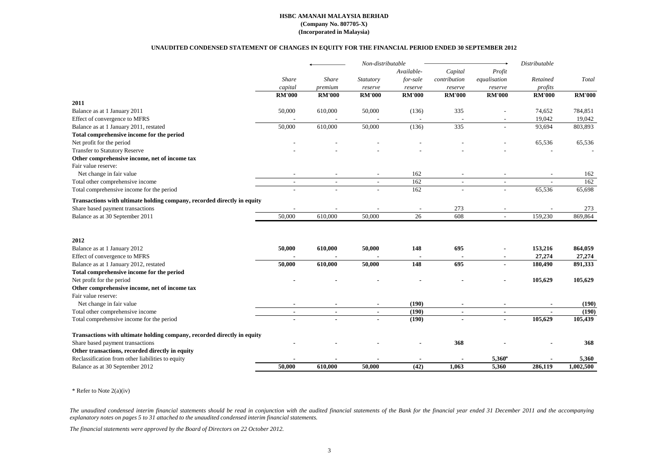The unaudited condensed interim financial statements should be read in conjunction with the audited financial statements of the Bank for the financial year ended 31 December 2011 and the accompanying *explanatory notes on pages 5 to 31 attached to the unaudited condensed interim financial statements.*

|                                                                         |                          |                          | Non-distributable        |                |                          |                          |                          |               |
|-------------------------------------------------------------------------|--------------------------|--------------------------|--------------------------|----------------|--------------------------|--------------------------|--------------------------|---------------|
|                                                                         | Share                    |                          |                          | Available-     | Capital                  | Profit                   |                          |               |
|                                                                         |                          | <b>Share</b>             | Statutory                | for-sale       | contribution             | equalisation             | Retained                 | Total         |
|                                                                         | capital                  | premium                  | reserve                  | reserve        | reserve                  | reserve                  | profits                  |               |
|                                                                         | <b>RM'000</b>            | <b>RM'000</b>            | <b>RM'000</b>            | <b>RM'000</b>  | <b>RM'000</b>            | <b>RM'000</b>            | <b>RM'000</b>            | <b>RM'000</b> |
| 2011                                                                    |                          |                          |                          |                |                          |                          |                          |               |
| Balance as at 1 January 2011                                            | 50,000                   | 610,000                  | 50,000                   | (136)          | 335                      |                          | 74,652                   | 784,851       |
| Effect of convergence to MFRS                                           |                          |                          |                          |                |                          |                          | 19,042                   | 19,042        |
| Balance as at 1 January 2011, restated                                  | 50,000                   | 610,000                  | 50,000                   | (136)          | 335                      |                          | 93,694                   | 803,893       |
| Total comprehensive income for the period                               |                          |                          |                          |                |                          |                          |                          |               |
| Net profit for the period                                               |                          |                          |                          |                |                          |                          | 65,536                   | 65,536        |
| <b>Transfer to Statutory Reserve</b>                                    |                          |                          |                          |                |                          |                          |                          |               |
| Other comprehensive income, net of income tax                           |                          |                          |                          |                |                          |                          |                          |               |
| Fair value reserve:                                                     |                          |                          |                          |                |                          |                          |                          |               |
| Net change in fair value                                                |                          |                          |                          | 162            |                          |                          |                          | 162           |
| Total other comprehensive income                                        | $\overline{\phantom{a}}$ | $\overline{\phantom{a}}$ | $\overline{\phantom{a}}$ | 162            | $\overline{\phantom{a}}$ | $\overline{\phantom{a}}$ | $\overline{\phantom{a}}$ | 162           |
| Total comprehensive income for the period                               |                          |                          |                          | 162            |                          |                          | 65,536                   | 65,698        |
| Transactions with ultimate holding company, recorded directly in equity |                          |                          |                          |                |                          |                          |                          |               |
| Share based payment transactions                                        |                          |                          |                          |                | 273                      |                          |                          | 273           |
| Balance as at 30 September 2011                                         | 50,000                   | 610,000                  | 50,000                   | 26             | 608                      |                          | 159,230                  | 869,864       |
| 2012                                                                    |                          |                          |                          |                |                          |                          |                          |               |
| Balance as at 1 January 2012                                            | 50,000                   | 610,000                  | 50,000                   | 148            | 695                      |                          | 153,216                  | 864,059       |
| Effect of convergence to MFRS                                           |                          |                          |                          |                |                          |                          | 27,274                   | 27,274        |
| Balance as at 1 January 2012, restated                                  | 50,000                   | 610,000                  | 50,000                   | 148            | 695                      |                          | 180,490                  | 891,333       |
| Total comprehensive income for the period                               |                          |                          |                          |                |                          |                          |                          |               |
| Net profit for the period                                               |                          |                          |                          |                |                          |                          | 105,629                  | 105,629       |
| Other comprehensive income, net of income tax                           |                          |                          |                          |                |                          |                          |                          |               |
| Fair value reserve:                                                     |                          |                          |                          |                |                          |                          |                          |               |
| Net change in fair value                                                |                          | $\sim$                   | $\blacksquare$           | (190)          | $\blacksquare$           | $\blacksquare$           | $\blacksquare$           | (190)         |
| Total other comprehensive income                                        |                          | $\blacksquare$           | $\blacksquare$           | (190)          | $\blacksquare$           | $\blacksquare$           | $\blacksquare$           | (190)         |
| Total comprehensive income for the period                               |                          | $\blacksquare$           | $\blacksquare$           | (190)          | $\blacksquare$           | $\blacksquare$           | 105,629                  | 105,439       |
|                                                                         |                          |                          |                          |                |                          |                          |                          |               |
| Transactions with ultimate holding company, recorded directly in equity |                          |                          |                          |                |                          |                          |                          |               |
| Share based payment transactions                                        |                          |                          |                          |                | 368                      |                          |                          | 368           |
| Other transactions, recorded directly in equity                         |                          |                          |                          |                |                          |                          |                          |               |
| Reclassification from other liabilities to equity                       |                          |                          |                          | $\blacksquare$ |                          | $5,360^*$                |                          | 5,360         |
| Balance as at 30 September 2012                                         | 50,000                   | 610,000                  | 50,000                   | (42)           | 1,063                    | 5,360                    | 286,119                  | 1,002,500     |
|                                                                         |                          |                          |                          |                |                          |                          |                          |               |

\* Refer to Note 2(a)(iv)

## **HSBC AMANAH MALAYSIA BERHAD (Company No. 807705-X) (Incorporated in Malaysia)**

## **UNAUDITED CONDENSED STATEMENT OF CHANGES IN EQUITY FOR THE FINANCIAL PERIOD ENDED 30 SEPTEMBER 2012**

*The financial statements were approved by the Board of Directors on 22 October 2012.*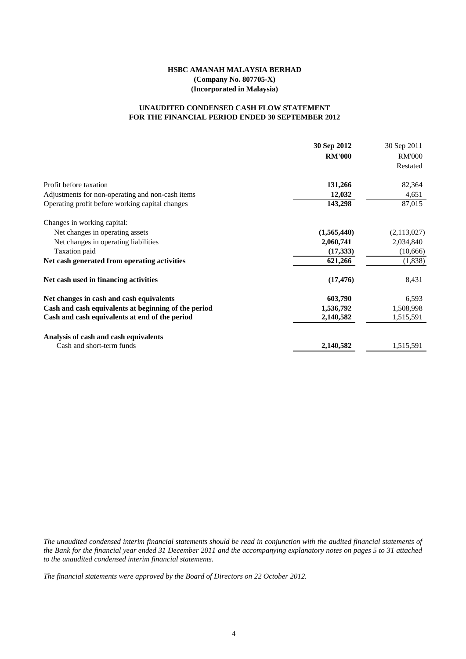### **FOR THE FINANCIAL PERIOD ENDED 30 SEPTEMBER 2012 UNAUDITED CONDENSED CASH FLOW STATEMENT**

|                                                      | 30 Sep 2012   | 30 Sep 2011   |
|------------------------------------------------------|---------------|---------------|
|                                                      | <b>RM'000</b> | <b>RM'000</b> |
|                                                      |               | Restated      |
| Profit before taxation                               | 131,266       | 82,364        |
| Adjustments for non-operating and non-cash items     | 12,032        | 4,651         |
| Operating profit before working capital changes      | 143,298       | 87,015        |
| Changes in working capital:                          |               |               |
| Net changes in operating assets                      | (1,565,440)   | (2,113,027)   |
| Net changes in operating liabilities                 | 2,060,741     | 2,034,840     |
| Taxation paid                                        | (17, 333)     | (10,666)      |
| Net cash generated from operating activities         | 621,266       | (1,838)       |
| Net cash used in financing activities                | (17, 476)     | 8,431         |
| Net changes in cash and cash equivalents             | 603,790       | 6,593         |
| Cash and cash equivalents at beginning of the period | 1,536,792     | 1,508,998     |
| Cash and cash equivalents at end of the period       | 2,140,582     | 1,515,591     |
| Analysis of cash and cash equivalents                |               |               |
| Cash and short-term funds                            | 2,140,582     | 1,515,591     |

The unaudited condensed interim financial statements should be read in conjunction with the audited financial statements of the Bank for the financial year ended 31 December 2011 and the accompanying explanatory notes on pages 5 to 31 attached *to the unaudited condensed interim financial statements.*

*The financial statements were approved by the Board of Directors on 22 October 2012.*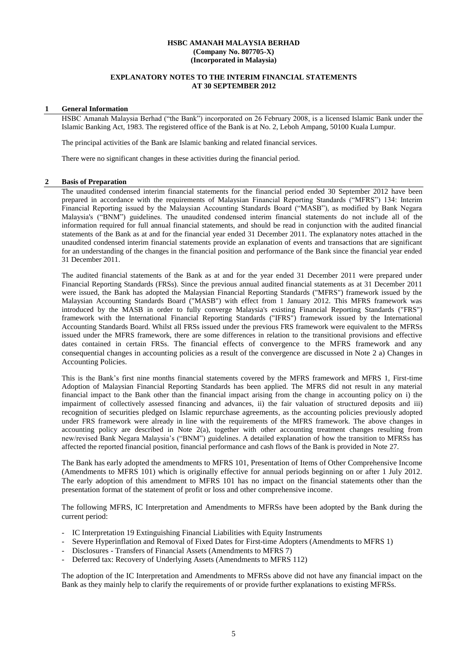#### **EXPLANATORY NOTES TO THE INTERIM FINANCIAL STATEMENTS AT 30 SEPTEMBER 2012**

#### **1 General Information**

HSBC Amanah Malaysia Berhad ("the Bank") incorporated on 26 February 2008, is a licensed Islamic Bank under the Islamic Banking Act, 1983. The registered office of the Bank is at No. 2, Leboh Ampang, 50100 Kuala Lumpur.

The principal activities of the Bank are Islamic banking and related financial services.

There were no significant changes in these activities during the financial period.

#### **2 Basis of Preparation**

The unaudited condensed interim financial statements for the financial period ended 30 September 2012 have been prepared in accordance with the requirements of Malaysian Financial Reporting Standards ("MFRS") 134: Interim Financial Reporting issued by the Malaysian Accounting Standards Board ("MASB"), as modified by Bank Negara Malaysia's ("BNM") guidelines. The unaudited condensed interim financial statements do not include all of the information required for full annual financial statements, and should be read in conjunction with the audited financial statements of the Bank as at and for the financial year ended 31 December 2011. The explanatory notes attached in the unaudited condensed interim financial statements provide an explanation of events and transactions that are significant for an understanding of the changes in the financial position and performance of the Bank since the financial year ended 31 December 2011.

The audited financial statements of the Bank as at and for the year ended 31 December 2011 were prepared under Financial Reporting Standards (FRSs). Since the previous annual audited financial statements as at 31 December 2011 were issued, the Bank has adopted the Malaysian Financial Reporting Standards ("MFRS") framework issued by the Malaysian Accounting Standards Board ("MASB") with effect from 1 January 2012. This MFRS framework was introduced by the MASB in order to fully converge Malaysia's existing Financial Reporting Standards ("FRS") framework with the International Financial Reporting Standards ("IFRS") framework issued by the International Accounting Standards Board. Whilst all FRSs issued under the previous FRS framework were equivalent to the MFRSs issued under the MFRS framework, there are some differences in relation to the transitional provisions and effective dates contained in certain FRSs. The financial effects of convergence to the MFRS framework and any consequential changes in accounting policies as a result of the convergence are discussed in Note 2 a) Changes in Accounting Policies.

This is the Bank's first nine months financial statements covered by the MFRS framework and MFRS 1, First-time Adoption of Malaysian Financial Reporting Standards has been applied. The MFRS did not result in any material financial impact to the Bank other than the financial impact arising from the change in accounting policy on i) the impairment of collectively assessed financing and advances, ii) the fair valuation of structured deposits and iii) recognition of securities pledged on Islamic repurchase agreements, as the accounting policies previously adopted under FRS framework were already in line with the requirements of the MFRS framework. The above changes in accounting policy are described in Note 2(a), together with other accounting treatment changes resulting from new/revised Bank Negara Malaysia's ("BNM") guidelines. A detailed explanation of how the transition to MFRSs has affected the reported financial position, financial performance and cash flows of the Bank is provided in Note 27.

The Bank has early adopted the amendments to MFRS 101, Presentation of Items of Other Comprehensive Income (Amendments to MFRS 101) which is originally effective for annual periods beginning on or after 1 July 2012. The early adoption of this amendment to MFRS 101 has no impact on the financial statements other than the presentation format of the statement of profit or loss and other comprehensive income.

The following MFRS, IC Interpretation and Amendments to MFRSs have been adopted by the Bank during the current period:

- IC Interpretation 19 Extinguishing Financial Liabilities with Equity Instruments
- Severe Hyperinflation and Removal of Fixed Dates for First-time Adopters (Amendments to MFRS 1)
- Disclosures Transfers of Financial Assets (Amendments to MFRS 7)
- Deferred tax: Recovery of Underlying Assets (Amendments to MFRS 112)

The adoption of the IC Interpretation and Amendments to MFRSs above did not have any financial impact on the Bank as they mainly help to clarify the requirements of or provide further explanations to existing MFRSs.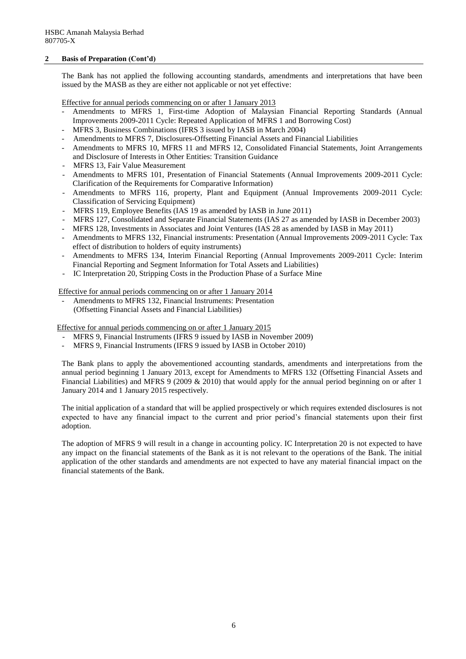#### **2 Basis of Preparation (Cont'd)**

The Bank has not applied the following accounting standards, amendments and interpretations that have been issued by the MASB as they are either not applicable or not yet effective:

Effective for annual periods commencing on or after 1 January 2013

- Amendments to MFRS 1, First-time Adoption of Malaysian Financial Reporting Standards (Annual Improvements 2009-2011 Cycle: Repeated Application of MFRS 1 and Borrowing Cost)
- MFRS 3, Business Combinations (IFRS 3 issued by IASB in March 2004)
- Amendments to MFRS 7, Disclosures-Offsetting Financial Assets and Financial Liabilities
- Amendments to MFRS 10, MFRS 11 and MFRS 12, Consolidated Financial Statements, Joint Arrangements and Disclosure of Interests in Other Entities: Transition Guidance
- MFRS 13, Fair Value Measurement
- Amendments to MFRS 101, Presentation of Financial Statements (Annual Improvements 2009-2011 Cycle: Clarification of the Requirements for Comparative Information)
- Amendments to MFRS 116, property, Plant and Equipment (Annual Improvements 2009-2011 Cycle: Classification of Servicing Equipment)
- MFRS 119, Employee Benefits (IAS 19 as amended by IASB in June 2011)
- MFRS 127, Consolidated and Separate Financial Statements (IAS 27 as amended by IASB in December 2003)
- MFRS 128, [Investments in Associates and Joint Ventures](http://www.masb.org.my/images/NewFRSStandards2011/FRS_128(2011).pdf) (IAS 28 as amended by IASB in May 2011)
- Amendments to MFRS 132, Financial instruments: Presentation (Annual Improvements 2009-2011 Cycle: Tax effect of distribution to holders of equity instruments)
- Amendments to MFRS 134, Interim Financial Reporting (Annual Improvements 2009-2011 Cycle: Interim Financial Reporting and Segment Information for Total Assets and Liabilities)
- IC Interpretation 20, Stripping Costs in the Production Phase of a Surface Mine

Effective for annual periods commencing on or after 1 January 2014

Amendments to MFRS 132, Financial Instruments: Presentation (Offsetting Financial Assets and Financial Liabilities)

Effective for annual periods commencing on or after 1 January 2015

- MFRS 9, Financial Instruments (IFRS 9 issued by IASB in November 2009)
- MFRS 9, Financial Instruments (IFRS 9 issued by IASB in October 2010)

The Bank plans to apply the abovementioned accounting standards, amendments and interpretations from the annual period beginning 1 January 2013, except for Amendments to MFRS 132 (Offsetting Financial Assets and Financial Liabilities) and MFRS 9 (2009 & 2010) that would apply for the annual period beginning on or after 1 January 2014 and 1 January 2015 respectively.

The initial application of a standard that will be applied prospectively or which requires extended disclosures is not expected to have any financial impact to the current and prior period's financial statements upon their first adoption.

The adoption of MFRS 9 will result in a change in accounting policy. IC Interpretation 20 is not expected to have any impact on the financial statements of the Bank as it is not relevant to the operations of the Bank. The initial application of the other standards and amendments are not expected to have any material financial impact on the financial statements of the Bank.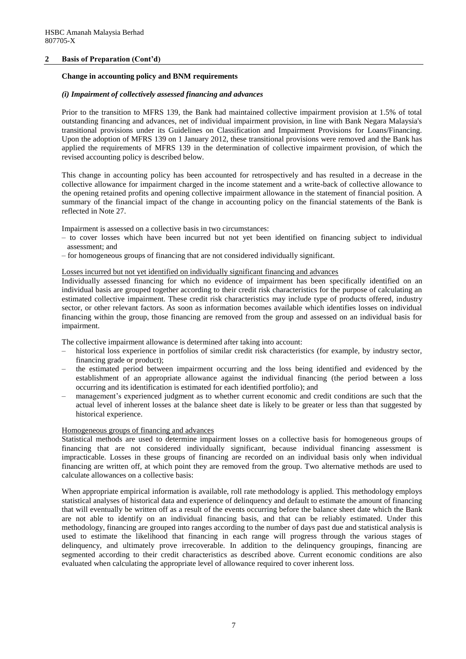#### **2 Basis of Preparation (Cont'd)**

#### **Change in accounting policy and BNM requirements**

#### *(i) Impairment of collectively assessed financing and advances*

Prior to the transition to MFRS 139, the Bank had maintained collective impairment provision at 1.5% of total outstanding financing and advances, net of individual impairment provision, in line with Bank Negara Malaysia's transitional provisions under its Guidelines on Classification and Impairment Provisions for Loans/Financing. Upon the adoption of MFRS 139 on 1 January 2012, these transitional provisions were removed and the Bank has applied the requirements of MFRS 139 in the determination of collective impairment provision, of which the revised accounting policy is described below.

This change in accounting policy has been accounted for retrospectively and has resulted in a decrease in the collective allowance for impairment charged in the income statement and a write-back of collective allowance to the opening retained profits and opening collective impairment allowance in the statement of financial position. A summary of the financial impact of the change in accounting policy on the financial statements of the Bank is reflected in Note 27.

Impairment is assessed on a collective basis in two circumstances:

- to cover losses which have been incurred but not yet been identified on financing subject to individual assessment; and
- for homogeneous groups of financing that are not considered individually significant.

#### Losses incurred but not yet identified on individually significant financing and advances

Individually assessed financing for which no evidence of impairment has been specifically identified on an individual basis are grouped together according to their credit risk characteristics for the purpose of calculating an estimated collective impairment. These credit risk characteristics may include type of products offered, industry sector, or other relevant factors. As soon as information becomes available which identifies losses on individual financing within the group, those financing are removed from the group and assessed on an individual basis for impairment.

The collective impairment allowance is determined after taking into account:

- historical loss experience in portfolios of similar credit risk characteristics (for example, by industry sector, financing grade or product);
- the estimated period between impairment occurring and the loss being identified and evidenced by the establishment of an appropriate allowance against the individual financing (the period between a loss occurring and its identification is estimated for each identified portfolio); and
- management's experienced judgment as to whether current economic and credit conditions are such that the actual level of inherent losses at the balance sheet date is likely to be greater or less than that suggested by historical experience.

#### Homogeneous groups of financing and advances

Statistical methods are used to determine impairment losses on a collective basis for homogeneous groups of financing that are not considered individually significant, because individual financing assessment is impracticable. Losses in these groups of financing are recorded on an individual basis only when individual financing are written off, at which point they are removed from the group. Two alternative methods are used to calculate allowances on a collective basis:

When appropriate empirical information is available, roll rate methodology is applied. This methodology employs statistical analyses of historical data and experience of delinquency and default to estimate the amount of financing that will eventually be written off as a result of the events occurring before the balance sheet date which the Bank are not able to identify on an individual financing basis, and that can be reliably estimated. Under this methodology, financing are grouped into ranges according to the number of days past due and statistical analysis is used to estimate the likelihood that financing in each range will progress through the various stages of delinquency, and ultimately prove irrecoverable. In addition to the delinquency groupings, financing are segmented according to their credit characteristics as described above. Current economic conditions are also evaluated when calculating the appropriate level of allowance required to cover inherent loss.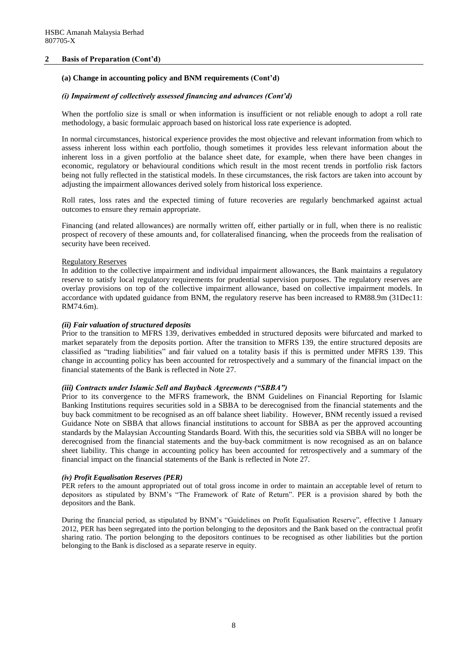#### **2 Basis of Preparation (Cont'd)**

#### **(a) Change in accounting policy and BNM requirements (Cont'd)**

#### *(i) Impairment of collectively assessed financing and advances (Cont'd)*

When the portfolio size is small or when information is insufficient or not reliable enough to adopt a roll rate methodology, a basic formulaic approach based on historical loss rate experience is adopted.

In normal circumstances, historical experience provides the most objective and relevant information from which to assess inherent loss within each portfolio, though sometimes it provides less relevant information about the inherent loss in a given portfolio at the balance sheet date, for example, when there have been changes in economic, regulatory or behavioural conditions which result in the most recent trends in portfolio risk factors being not fully reflected in the statistical models. In these circumstances, the risk factors are taken into account by adjusting the impairment allowances derived solely from historical loss experience.

Roll rates, loss rates and the expected timing of future recoveries are regularly benchmarked against actual outcomes to ensure they remain appropriate.

Financing (and related allowances) are normally written off, either partially or in full, when there is no realistic prospect of recovery of these amounts and, for collateralised financing, when the proceeds from the realisation of security have been received.

#### Regulatory Reserves

In addition to the collective impairment and individual impairment allowances, the Bank maintains a regulatory reserve to satisfy local regulatory requirements for prudential supervision purposes. The regulatory reserves are overlay provisions on top of the collective impairment allowance, based on collective impairment models. In accordance with updated guidance from BNM, the regulatory reserve has been increased to RM88.9m (31Dec11: RM74.6m).

#### *(ii) Fair valuation of structured deposits*

Prior to the transition to MFRS 139, derivatives embedded in structured deposits were bifurcated and marked to market separately from the deposits portion. After the transition to MFRS 139, the entire structured deposits are classified as "trading liabilities" and fair valued on a totality basis if this is permitted under MFRS 139. This change in accounting policy has been accounted for retrospectively and a summary of the financial impact on the financial statements of the Bank is reflected in Note 27.

#### *(iii) Contracts under Islamic Sell and Buyback Agreements ("SBBA")*

Prior to its convergence to the MFRS framework, the BNM Guidelines on Financial Reporting for Islamic Banking Institutions requires securities sold in a SBBA to be derecognised from the financial statements and the buy back commitment to be recognised as an off balance sheet liability. However, BNM recently issued a revised Guidance Note on SBBA that allows financial institutions to account for SBBA as per the approved accounting standards by the Malaysian Accounting Standards Board. With this, the securities sold via SBBA will no longer be derecognised from the financial statements and the buy-back commitment is now recognised as an on balance sheet liability. This change in accounting policy has been accounted for retrospectively and a summary of the financial impact on the financial statements of the Bank is reflected in Note 27.

#### *(iv) Profit Equalisation Reserves (PER)*

PER refers to the amount appropriated out of total gross income in order to maintain an acceptable level of return to depositors as stipulated by BNM's "The Framework of Rate of Return". PER is a provision shared by both the depositors and the Bank.

During the financial period, as stipulated by BNM's "Guidelines on Profit Equalisation Reserve", effective 1 January 2012, PER has been segregated into the portion belonging to the depositors and the Bank based on the contractual profit sharing ratio. The portion belonging to the depositors continues to be recognised as other liabilities but the portion belonging to the Bank is disclosed as a separate reserve in equity.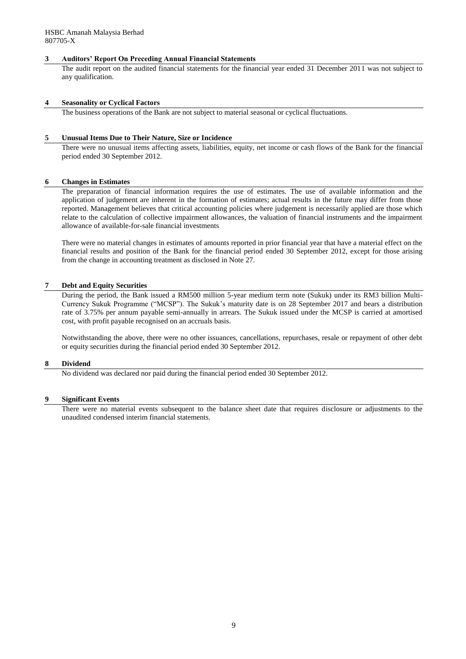#### **3 Auditors' Report On Preceding Annual Financial Statements**

The audit report on the audited financial statements for the financial year ended 31 December 2011 was not subject to any qualification.

#### **4 Seasonality or Cyclical Factors**

The business operations of the Bank are not subject to material seasonal or cyclical fluctuations.

#### **5 Unusual Items Due to Their Nature, Size or Incidence**

There were no unusual items affecting assets, liabilities, equity, net income or cash flows of the Bank for the financial period ended 30 September 2012.

#### **6 Changes in Estimates**

The preparation of financial information requires the use of estimates. The use of available information and the application of judgement are inherent in the formation of estimates; actual results in the future may differ from those reported. Management believes that critical accounting policies where judgement is necessarily applied are those which relate to the calculation of collective impairment allowances, the valuation of financial instruments and the impairment allowance of available-for-sale financial investments

There were no material changes in estimates of amounts reported in prior financial year that have a material effect on the financial results and position of the Bank for the financial period ended 30 September 2012, except for those arising from the change in accounting treatment as disclosed in Note 27.

#### **7 Debt and Equity Securities**

During the period, the Bank issued a RM500 million 5-year medium term note (Sukuk) under its RM3 billion Multi-Currency Sukuk Programme ("MCSP"). The Sukuk's maturity date is on 28 September 2017 and bears a distribution rate of 3.75% per annum payable semi-annually in arrears. The Sukuk issued under the MCSP is carried at amortised cost, with profit payable recognised on an accruals basis.

Notwithstanding the above, there were no other issuances, cancellations, repurchases, resale or repayment of other debt or equity securities during the financial period ended 30 September 2012.

#### **8 Dividend**

No dividend was declared nor paid during the financial period ended 30 September 2012.

#### **9 Significant Events**

There were no material events subsequent to the balance sheet date that requires disclosure or adjustments to the unaudited condensed interim financial statements.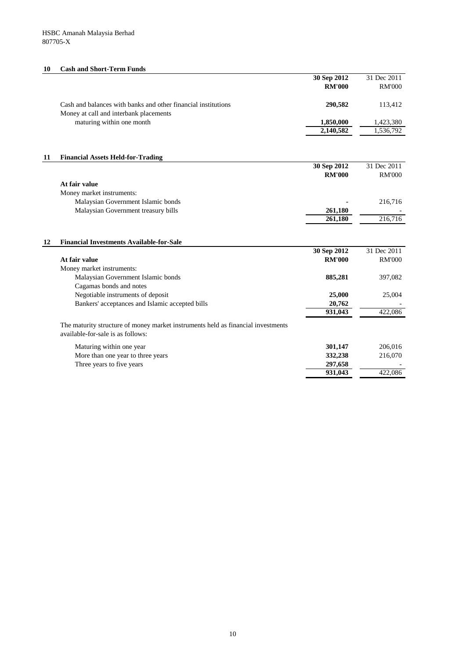## **10 Cash and Short-Term Funds**

|    |                                                                                                                       | 30 Sep 2012                  | 31 Dec 2011   |
|----|-----------------------------------------------------------------------------------------------------------------------|------------------------------|---------------|
|    |                                                                                                                       | <b>RM'000</b>                | <b>RM'000</b> |
|    | Cash and balances with banks and other financial institutions                                                         | 290,582                      | 113,412       |
|    | Money at call and interbank placements<br>maturing within one month                                                   | 1,850,000                    | 1,423,380     |
|    |                                                                                                                       | 2,140,582                    | 1,536,792     |
|    |                                                                                                                       |                              |               |
| 11 | <b>Financial Assets Held-for-Trading</b>                                                                              |                              |               |
|    |                                                                                                                       | 30 Sep 2012                  | 31 Dec 2011   |
|    |                                                                                                                       | <b>RM'000</b>                | <b>RM'000</b> |
|    | At fair value                                                                                                         |                              |               |
|    | Money market instruments:                                                                                             |                              |               |
|    | Malaysian Government Islamic bonds                                                                                    |                              | 216,716       |
|    | Malaysian Government treasury bills                                                                                   | 261,180                      |               |
|    |                                                                                                                       | 261,180                      | 216,716       |
|    |                                                                                                                       |                              |               |
| 12 | <b>Financial Investments Available-for-Sale</b>                                                                       |                              | 31 Dec 2011   |
|    | At fair value                                                                                                         | 30 Sep 2012<br><b>RM'000</b> | <b>RM'000</b> |
|    | Money market instruments:                                                                                             |                              |               |
|    | Malaysian Government Islamic bonds                                                                                    | 885,281                      | 397,082       |
|    | Cagamas bonds and notes                                                                                               |                              |               |
|    | Negotiable instruments of deposit                                                                                     | 25,000                       | 25,004        |
|    | Bankers' acceptances and Islamic accepted bills                                                                       | 20,762                       |               |
|    |                                                                                                                       | $\overline{931,043}$         | 422,086       |
|    | The maturity structure of money market instruments held as financial investments<br>available-for-sale is as follows: |                              |               |
|    | Maturing within one year                                                                                              | 301,147                      | 206,016       |
|    | More than one year to three years                                                                                     | 332,238                      | 216,070       |
|    | Three years to five years                                                                                             | 297,658                      |               |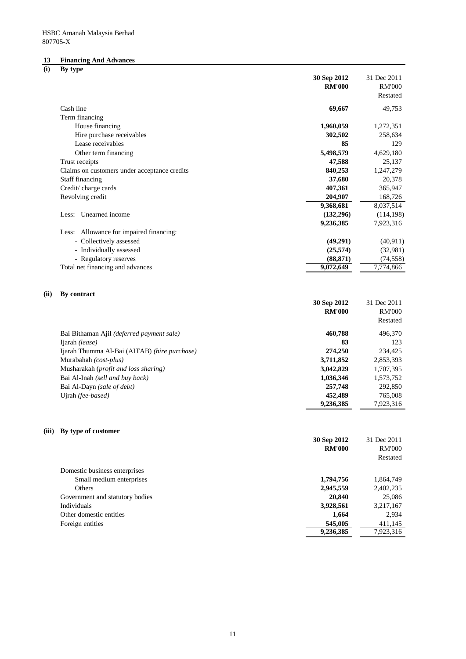# **13 Financing And Advances (i) By type**

|       |                                                             | 30 Sep 2012                  | 31 Dec 2011                  |
|-------|-------------------------------------------------------------|------------------------------|------------------------------|
|       |                                                             | <b>RM'000</b>                | <b>RM'000</b>                |
|       |                                                             |                              | Restated                     |
|       | Cash line                                                   | 69,667                       | 49,753                       |
|       | Term financing                                              |                              |                              |
|       | House financing                                             | 1,960,059                    | 1,272,351                    |
|       | Hire purchase receivables                                   | 302,502                      | 258,634                      |
|       | Lease receivables                                           | 85                           | 129                          |
|       | Other term financing                                        | 5,498,579                    | 4,629,180                    |
|       | Trust receipts                                              | 47,588                       | 25,137                       |
|       | Claims on customers under acceptance credits                | 840,253                      | 1,247,279                    |
|       | <b>Staff financing</b>                                      | 37,680                       | 20,378                       |
|       | Credit/charge cards                                         | 407,361                      | 365,947                      |
|       | Revolving credit                                            | 204,907                      | 168,726                      |
|       |                                                             | 9,368,681                    | 8,037,514                    |
|       | Less: Unearned income                                       | (132,296)                    | (114, 198)                   |
|       |                                                             | 9,236,385                    | 7,923,316                    |
|       | Less: Allowance for impaired financing:                     |                              |                              |
|       | - Collectively assessed                                     | (49,291)                     | (40, 911)                    |
|       | - Individually assessed                                     | (25,574)                     | (32,981)                     |
|       | - Regulatory reserves                                       | (88, 871)                    | (74, 558)                    |
|       | Total net financing and advances                            | 9,072,649                    | 7,774,866                    |
| (ii)  | By contract                                                 | 30 Sep 2012<br><b>RM'000</b> | 31 Dec 2011<br><b>RM'000</b> |
|       |                                                             |                              | Restated                     |
|       |                                                             |                              |                              |
|       | Bai Bithaman Ajil (deferred payment sale)<br>Ijarah (lease) | 460,788<br>83                | 496,370<br>123               |
|       | Ijarah Thumma Al-Bai (AITAB) (hire purchase)                | 274,250                      | 234,425                      |
|       | Murabahah (cost-plus)                                       | 3,711,852                    | 2,853,393                    |
|       | Musharakah (profit and loss sharing)                        | 3,042,829                    | 1,707,395                    |
|       | Bai Al-Inah (sell and buy back)                             | 1,036,346                    | 1,573,752                    |
|       | Bai Al-Dayn (sale of debt)                                  | 257,748                      | 292,850                      |
|       | Ujrah (fee-based)                                           | 452,489                      | 765,008                      |
|       |                                                             | 9,236,385                    | 7,923,316                    |
|       |                                                             |                              |                              |
| (iii) | By type of customer                                         |                              |                              |
|       |                                                             | 30 Sep 2012                  | 31 Dec 2011                  |
|       |                                                             | <b>RM'000</b>                | <b>RM'000</b>                |
|       |                                                             |                              | Restated                     |
|       | Domestic business enterprises                               |                              |                              |
|       | Small medium enterprises                                    | 1,794,756                    | 1,864,749                    |
|       | Others                                                      | 2,945,559                    | 2,402,235                    |
|       | Government and statutory bodies                             | 20,840                       | 25,086                       |
|       | Individuals                                                 | 3,928,561                    | 3,217,167                    |

Other domestic entities 2,934

| 411,145   |
|-----------|
| 7,923,316 |
|           |

11

Foreign entities  $\qquad$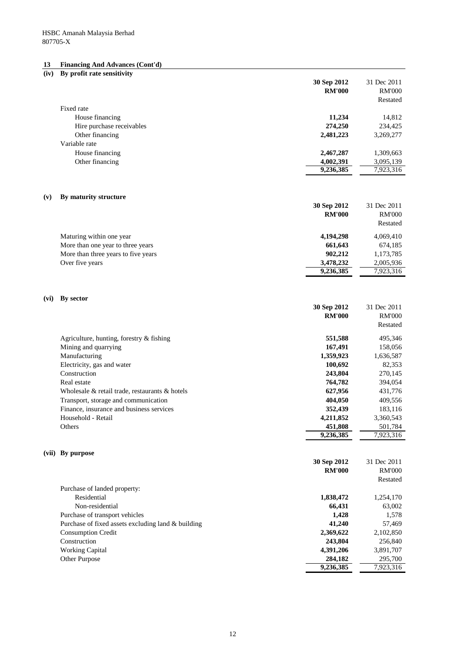## **13 Financing And Advances (Cont'd)**

| (iv) | By profit rate sensitivity                           |               |               |
|------|------------------------------------------------------|---------------|---------------|
|      |                                                      | 30 Sep 2012   | 31 Dec 2011   |
|      |                                                      | <b>RM'000</b> | <b>RM'000</b> |
|      |                                                      |               | Restated      |
|      | Fixed rate                                           |               |               |
|      | House financing                                      | 11,234        | 14,812        |
|      | Hire purchase receivables                            | 274,250       | 234,425       |
|      | Other financing                                      | 2,481,223     | 3,269,277     |
|      | Variable rate                                        |               |               |
|      |                                                      |               |               |
|      | House financing                                      | 2,467,287     | 1,309,663     |
|      | Other financing                                      | 4,002,391     | 3,095,139     |
|      |                                                      | 9,236,385     | 7,923,316     |
|      |                                                      |               |               |
| (v)  | By maturity structure                                |               |               |
|      |                                                      | 30 Sep 2012   | 31 Dec 2011   |
|      |                                                      | <b>RM'000</b> | <b>RM'000</b> |
|      |                                                      |               | Restated      |
|      |                                                      |               |               |
|      | Maturing within one year                             | 4,194,298     | 4,069,410     |
|      | More than one year to three years                    | 661,643       | 674,185       |
|      | More than three years to five years                  | 902,212       | 1,173,785     |
|      | Over five years                                      | 3,478,232     | 2,005,936     |
|      |                                                      | 9,236,385     | 7,923,316     |
|      |                                                      |               |               |
|      |                                                      |               |               |
| (vi) | By sector                                            |               |               |
|      |                                                      | 30 Sep 2012   | 31 Dec 2011   |
|      |                                                      | <b>RM'000</b> | <b>RM'000</b> |
|      |                                                      |               | Restated      |
|      | Agriculture, hunting, forestry $&$ fishing           | 551,588       | 495,346       |
|      | Mining and quarrying                                 | 167,491       | 158,056       |
|      | Manufacturing                                        | 1,359,923     | 1,636,587     |
|      | Electricity, gas and water                           | 100,692       | 82,353        |
|      | Construction                                         |               |               |
|      |                                                      | 243,804       | 270,145       |
|      | Real estate                                          | 764,782       | 394,054       |
|      | Wholesale $\&$ retail trade, restaurants $\&$ hotels | 627,956       | 431,776       |
|      | Transport, storage and communication                 | 404,050       | 409,556       |
|      | Finance, insurance and business services             | 352,439       | 183,116       |
|      | Household - Retail                                   | 4,211,852     | 3,360,543     |
|      | Others                                               | 451,808       | 501,784       |
|      |                                                      | 9,236,385     | 7,923,316     |
|      |                                                      |               |               |
|      | (vii) By purpose                                     |               |               |
|      |                                                      | 30 Sep 2012   | 31 Dec 2011   |
|      |                                                      | <b>RM'000</b> | <b>RM'000</b> |
|      |                                                      |               | Restated      |
|      | Purchase of landed property:                         |               |               |
|      | Residential                                          | 1,838,472     | 1,254,170     |
|      | Non-residential                                      | 66,431        | 63,002        |
|      | Purchase of transport vehicles                       | 1,428         | 1,578         |

| Purchase of fixed assets excluding land & building | 41,240    | 57,469    |
|----------------------------------------------------|-----------|-----------|
| <b>Consumption Credit</b>                          | 2,369,622 | 2,102,850 |
| Construction                                       | 243.804   | 256,840   |
| <b>Working Capital</b>                             | 4,391,206 | 3,891,707 |
| <b>Other Purpose</b>                               | 284,182   | 295,700   |

| 41,240    | 57,469    |
|-----------|-----------|
| 2,369,622 | 2,102,850 |
| 243,804   | 256,840   |
| 4,391,206 | 3,891,707 |
| 284,182   | 295,700   |
| 9,236,385 | 7,923,316 |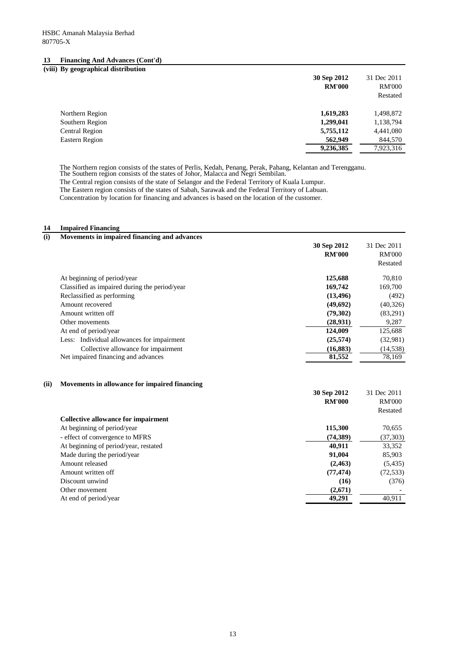## **13 Financing And Advances (Cont'd)**

#### **(viii) By geographical distribution**

|                       | 30 Sep 2012<br><b>RM'000</b> | 31 Dec 2011<br><b>RM'000</b><br>Restated |
|-----------------------|------------------------------|------------------------------------------|
| Northern Region       | 1,619,283                    | 1,498,872                                |
| Southern Region       | 1,299,041                    | 1,138,794                                |
| <b>Central Region</b> | 5,755,112                    | 4,441,080                                |
| <b>Eastern Region</b> | 562,949                      | 844,570                                  |
|                       | 9,236,385                    | 7,923,316                                |

#### **14 Impaired Financing**

| (i)  | Movements in impaired financing and advances  |               |               |
|------|-----------------------------------------------|---------------|---------------|
|      |                                               | 30 Sep 2012   | 31 Dec 2011   |
|      |                                               | <b>RM'000</b> | <b>RM'000</b> |
|      |                                               |               | Restated      |
|      | At beginning of period/year                   | 125,688       | 70,810        |
|      | Classified as impaired during the period/year | 169,742       | 169,700       |
|      | Reclassified as performing                    | (13, 496)     | (492)         |
|      | Amount recovered                              | (49, 692)     | (40, 326)     |
|      | Amount written off                            | (79,302)      | (83,291)      |
|      | Other movements                               | (28, 931)     | 9,287         |
|      | At end of period/year                         | 124,009       | 125,688       |
|      | Less: Individual allowances for impairment    | (25, 574)     | (32,981)      |
|      | Collective allowance for impairment           | (16, 883)     | (14, 538)     |
|      | Net impaired financing and advances           | 81,552        | 78,169        |
| (ii) | Movements in allowance for impaired financing | 30 Sep 2012   | 31 Dec 2011   |
|      |                                               | <b>RM'000</b> | <b>RM'000</b> |
|      |                                               |               | Restated      |
|      | <b>Collective allowance for impairment</b>    |               |               |
|      | At beginning of period/year                   | 115,300       | 70,655        |
|      | - effect of convergence to MFRS               | (74, 389)     | (37, 303)     |
|      | At beginning of period/year, restated         | 40,911        | 33,352        |
|      | Made during the period/year                   | 91,004        | 85,903        |
|      | Amount released                               | (2, 463)      | (5, 435)      |
|      | Amount written off                            | (77, 474)     | (72, 533)     |
|      | Discount unwind                               | (16)          | (376)         |
|      | Other movement                                | (2,671)       |               |

At end of period/year **49,291** 40,911

The Northern region consists of the states of Perlis, Kedah, Penang, Perak, Pahang, Kelantan and Terengganu.

The Southern region consists of the states of Johor, Malacca and Negri Sembilan.

The Central region consists of the state of Selangor and the Federal Territory of Kuala Lumpur. The Eastern region consists of the states of Sabah, Sarawak and the Federal Territory of Labuan.

Concentration by location for financing and advances is based on the location of the customer.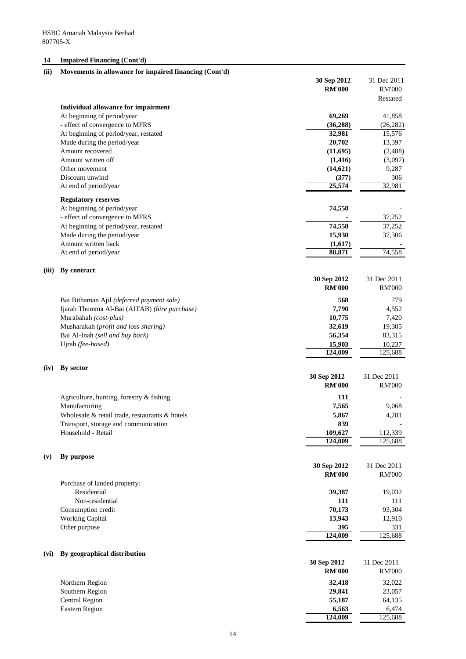## **14 Impaired Financing (Cont'd)**

| (ii)  | Movements in allowance for impaired financing (Cont'd) |               |               |
|-------|--------------------------------------------------------|---------------|---------------|
|       |                                                        | 30 Sep 2012   | 31 Dec 2011   |
|       |                                                        | <b>RM'000</b> | <b>RM'000</b> |
|       |                                                        |               | Restated      |
|       | <b>Individual allowance for impairment</b>             |               |               |
|       | At beginning of period/year                            | 69,269        | 41,858        |
|       | - effect of convergence to MFRS                        | (36, 288)     | (26, 282)     |
|       | At beginning of period/year, restated                  | 32,981        | 15,576        |
|       | Made during the period/year                            | 20,702        | 13,397        |
|       | Amount recovered                                       | (11,695)      | (2, 488)      |
|       | Amount written off                                     | (1, 416)      | (3,097)       |
|       | Other movement                                         | (14, 621)     | 9,287         |
|       | Discount unwind                                        | (377)         | 306           |
|       | At end of period/year                                  | 25,574        | 32,981        |
|       | <b>Regulatory reserves</b>                             |               |               |
|       | At beginning of period/year                            | 74,558        |               |
|       | - effect of convergence to MFRS                        |               | 37,252        |
|       | At beginning of period/year, restated                  | 74,558        | 37,252        |
|       | Made during the period/year                            | 15,930        | 37,306        |
|       | Amount written back                                    | (1,617)       |               |
|       | At end of period/year                                  | 88,871        | 74,558        |
| (iii) | By contract                                            |               |               |
|       |                                                        | 30 Sep 2012   | 31 Dec 2011   |
|       |                                                        | <b>RM'000</b> | <b>RM'000</b> |
|       | Bai Bithaman Ajil (deferred payment sale)              | 568           | 779           |
|       | Ijarah Thumma Al-Bai (AITAB) (hire purchase)           | 7,790         | 4,552         |
|       | Murabahah (cost-plus)                                  | 10,775        | 7,420         |
|       | Musharakah (profit and loss sharing)                   | 32,619        | 19,385        |
|       | Bai Al-Inah (sell and buy back)                        | 56,354        | 83,315        |
|       | Ujrah (fee-based)                                      | 15,903        | 10,237        |
|       |                                                        | 124,009       | 125,688       |

## **(iv) By sector**

|     |                                                      | 30 Sep 2012   | 31 Dec 2011   |
|-----|------------------------------------------------------|---------------|---------------|
|     |                                                      | <b>RM'000</b> | <b>RM'000</b> |
|     | Agriculture, hunting, forestry $\&$ fishing          | <b>111</b>    |               |
|     | Manufacturing                                        | 7,565         | 9,068         |
|     | Wholesale $\&$ retail trade, restaurants $\&$ hotels | 5,867         | 4,281         |
|     | Transport, storage and communication                 | 839           |               |
|     | Household - Retail                                   | 109,627       | 112,339       |
|     |                                                      | 124,009       | 125,688       |
| (v) | By purpose                                           |               |               |
|     |                                                      | 30 Sep 2012   | 31 Dec 2011   |
|     |                                                      | <b>RM'000</b> | <b>RM'000</b> |
|     | Purchase of landed property:                         |               |               |
|     | Residential                                          | 39,387        | 19,032        |
|     | Non-residential                                      | 111           | 111           |
|     | Consumption credit                                   | 70,173        | 93,304        |

| <b>Working Capital</b>               | 13,943        | 12,910        |
|--------------------------------------|---------------|---------------|
| Other purpose                        | 395           | 331           |
|                                      | 124,009       | 125,688       |
| By geographical distribution<br>(vi) |               |               |
|                                      | 30 Sep 2012   | 31 Dec 2011   |
|                                      | <b>RM'000</b> | <b>RM'000</b> |
| Northern Region                      | 32,418        | 32,022        |
| Southern Region                      | 29,841        | 23,057        |
| <b>Central Region</b>                | 55,187        | 64,135        |
| <b>Eastern Region</b>                | 6,563         | 6,474         |
|                                      | 124,009       | 125,688       |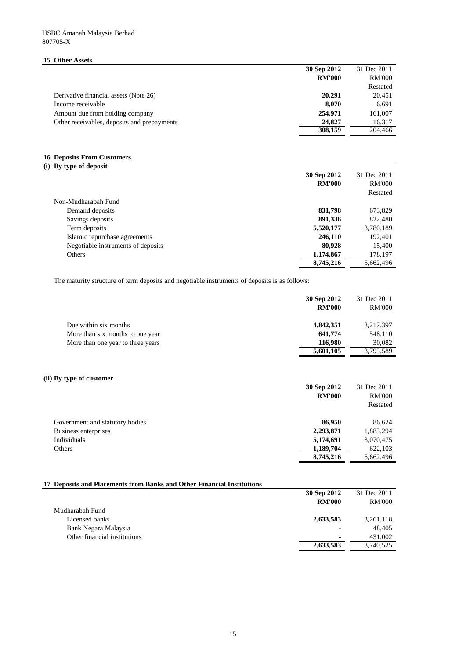## **15 Other Assets**

| 5 Other Assets                              |               |               |
|---------------------------------------------|---------------|---------------|
|                                             | 30 Sep 2012   | 31 Dec 2011   |
|                                             | <b>RM'000</b> | <b>RM'000</b> |
|                                             |               | Restated      |
| Derivative financial assets (Note 26)       | 20,291        | 20,451        |
| Income receivable                           | 8,070         | 6,691         |
| Amount due from holding company             | 254,971       | 161,007       |
| Other receivables, deposits and prepayments | 24,827        | 16,317        |
|                                             | 308,159       | 204,466       |

#### **16 Deposits From Customers**

| (i) By type of deposit             |               |               |
|------------------------------------|---------------|---------------|
|                                    | 30 Sep 2012   | 31 Dec 2011   |
|                                    | <b>RM'000</b> | <b>RM'000</b> |
|                                    |               | Restated      |
| Non-Mudharabah Fund                |               |               |
| Demand deposits                    | 831,798       | 673,829       |
| Savings deposits                   | 891,336       | 822,480       |
| Term deposits                      | 5,520,177     | 3,780,189     |
| Islamic repurchase agreements      | 246,110       | 192,401       |
| Negotiable instruments of deposits | 80,928        | 15,400        |
| Others                             | 1,174,867     | 178,197       |
|                                    | 8,745,216     | 5,662,496     |

The maturity structure of term deposits and negotiable instruments of deposits is as follows:

|                                   | 30 Sep 2012   | 31 Dec 2011   |
|-----------------------------------|---------------|---------------|
|                                   | <b>RM'000</b> | <b>RM'000</b> |
| Due within six months             | 4,842,351     | 3,217,397     |
| More than six months to one year  | 641,774       | 548,110       |
| More than one year to three years | 116,980       | 30,082        |
|                                   | 5,601,105     | 3,795,589     |
|                                   |               |               |
|                                   |               |               |
|                                   |               |               |

## **(ii) By type of customer**

|                                 | 30 Sep 2012<br><b>RM'000</b> | 31 Dec 2011<br><b>RM'000</b><br>Restated |
|---------------------------------|------------------------------|------------------------------------------|
| Government and statutory bodies | 86,950                       | 86,624                                   |
| Business enterprises            | 2,293,871                    | 1,883,294                                |
| Individuals                     | 5,174,691                    | 3,070,475                                |
| Others                          | 1,189,704                    | 622,103                                  |
|                                 | 8,745,216                    | 5,662,496                                |

| 17 Deposits and Placements from Banks and Other Financial Institutions |               |             |  |
|------------------------------------------------------------------------|---------------|-------------|--|
|                                                                        | 30 Sep 2012   | 31 Dec 2011 |  |
|                                                                        | <b>RM'000</b> | RM'000      |  |
| Mudharabah Fund                                                        |               |             |  |
| Licensed banks                                                         | 2.633.583     | 3.261.118   |  |

|                          | $-1 - 1 - 1 - 1$ |
|--------------------------|------------------|
| $\blacksquare$           | 48,405           |
| $\overline{\phantom{a}}$ | 431,002          |
| 2,633,583                | 3,740,525        |
|                          |                  |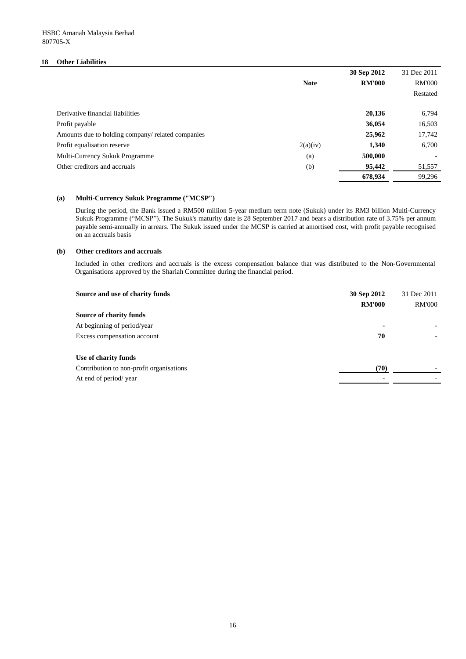### **18 Other Liabilities**

|                                                   |             | 30 Sep 2012   | 31 Dec 2011   |
|---------------------------------------------------|-------------|---------------|---------------|
|                                                   | <b>Note</b> | <b>RM'000</b> | <b>RM'000</b> |
|                                                   |             |               | Restated      |
| Derivative financial liabilities                  |             | 20,136        | 6,794         |
| Profit payable                                    |             | 36,054        | 16,503        |
| Amounts due to holding company/ related companies |             | 25,962        | 17,742        |
| Profit equalisation reserve                       | 2(a)(iv)    | 1,340         | 6,700         |
| Multi-Currency Sukuk Programme                    | (a)         | 500,000       |               |
| Other creditors and accruals                      | (b)         | 95,442        | 51,557        |
|                                                   |             | 678,934       | 99,296        |

#### **(a) Multi-Currency Sukuk Programme ("MCSP")**

#### **(b) Other creditors and accruals**

| Source and use of charity funds          | 30 Sep 2012              | 31 Dec 2011   |
|------------------------------------------|--------------------------|---------------|
|                                          | <b>RM'000</b>            | <b>RM'000</b> |
| <b>Source of charity funds</b>           |                          |               |
| At beginning of period/year              | $\overline{\phantom{0}}$ |               |
| Excess compensation account              | 70                       |               |
| Use of charity funds                     |                          |               |
| Contribution to non-profit organisations | (70)                     |               |
| At end of period/year                    |                          |               |

During the period, the Bank issued a RM500 million 5-year medium term note (Sukuk) under its RM3 billion Multi-Currency Sukuk Programme ("MCSP"). The Sukuk's maturity date is 28 September 2017 and bears a distribution rate of 3.75% per annum payable semi-annually in arrears. The Sukuk issued under the MCSP is carried at amortised cost, with profit payable recognised on an accruals basis

Included in other creditors and accruals is the excess compensation balance that was distributed to the Non-Governmental Organisations approved by the Shariah Committee during the financial period.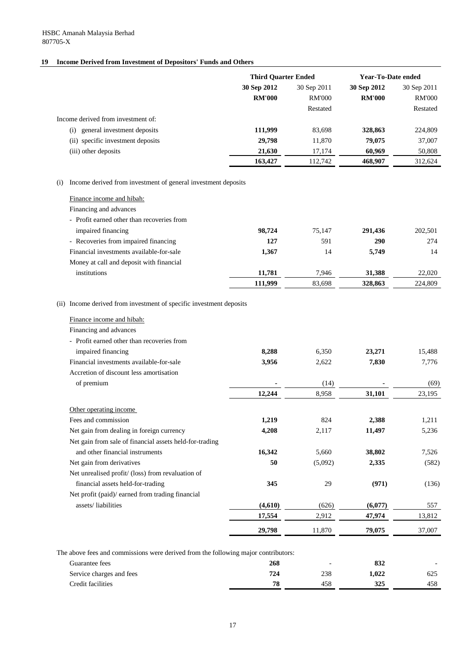## **19 Income Derived from Investment of Depositors' Funds and Others**

## (i) Income derived from investment of general investment deposits

| Finance income and hibah:                  |         |        |         |         |
|--------------------------------------------|---------|--------|---------|---------|
| Financing and advances                     |         |        |         |         |
| - Profit earned other than recoveries from |         |        |         |         |
| impaired financing                         | 98,724  | 75,147 | 291,436 | 202,501 |
| - Recoveries from impaired financing       | 127     | 591    | 290     | 274     |
| Financial investments available-for-sale   | 1,367   | 14     | 5,749   | 14      |
| Money at call and deposit with financial   |         |        |         |         |
| institutions                               | 11,781  | 7,946  | 31,388  | 22,020  |
|                                            | 111,999 | 83,698 | 328,863 | 224,809 |

## (ii) Income derived from investment of specific investment deposits

|                                      | <b>Third Quarter Ended</b> |               | <b>Year-To-Date ended</b> |               |
|--------------------------------------|----------------------------|---------------|---------------------------|---------------|
|                                      | 30 Sep 2012                | 30 Sep 2011   | 30 Sep 2012               | 30 Sep 2011   |
|                                      | <b>RM'000</b>              | <b>RM'000</b> | <b>RM'000</b>             | <b>RM'000</b> |
|                                      |                            | Restated      |                           | Restated      |
| Income derived from investment of:   |                            |               |                           |               |
| general investment deposits<br>(i)   | 111,999                    | 83,698        | 328,863                   | 224,809       |
| specific investment deposits<br>(ii) | 29,798                     | 11,870        | 79,075                    | 37,007        |
| (iii) other deposits                 | 21,630                     | 17,174        | 60,969                    | 50,808        |
|                                      | 163,427                    | 112,742       | 468,907                   | 312,624       |

| Finance income and hibah:                               |         |         |         |        |
|---------------------------------------------------------|---------|---------|---------|--------|
| Financing and advances                                  |         |         |         |        |
| - Profit earned other than recoveries from              |         |         |         |        |
| impaired financing                                      | 8,288   | 6,350   | 23,271  | 15,488 |
| Financial investments available-for-sale                | 3,956   | 2,622   | 7,830   | 7,776  |
| Accretion of discount less amortisation                 |         |         |         |        |
| of premium                                              |         | (14)    |         | (69)   |
|                                                         | 12,244  | 8,958   | 31,101  | 23,195 |
| Other operating income                                  |         |         |         |        |
| Fees and commission                                     | 1,219   | 824     | 2,388   | 1,211  |
| Net gain from dealing in foreign currency               | 4,208   | 2,117   | 11,497  | 5,236  |
| Net gain from sale of financial assets held-for-trading |         |         |         |        |
| and other financial instruments                         | 16,342  | 5,660   | 38,802  | 7,526  |
| Net gain from derivatives                               | 50      | (5,092) | 2,335   | (582)  |
| Net unrealised profit/ (loss) from revaluation of       |         |         |         |        |
| financial assets held-for-trading                       | 345     | 29      | (971)   | (136)  |
| Net profit (paid)/ earned from trading financial        |         |         |         |        |
| assets/liabilities                                      | (4,610) | (626)   | (6,077) | 557    |
|                                                         | 17,554  | 2,912   | 47,974  | 13,812 |

 **29,798** 11,870 **79,075** 37,007

The above fees and commissions were derived from the following major contributors:

| Guarantee fees           | 268 | $\overline{\phantom{0}}$ | 832   |     |
|--------------------------|-----|--------------------------|-------|-----|
| Service charges and fees |     | 238                      | 1,022 | 625 |
| Credit facilities        | 78  | 458                      | 325   | 458 |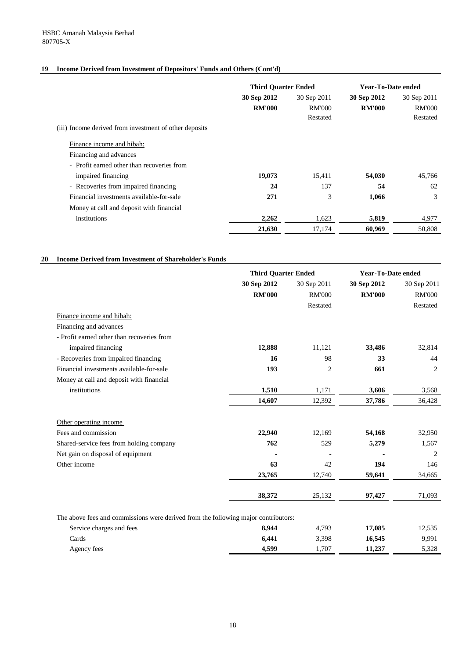## **19 Income Derived from Investment of Depositors' Funds and Others (Cont'd)**

### **20 Income Derived from Investment of Shareholder's Funds**

|                                                        | <b>Third Quarter Ended</b> |               | <b>Year-To-Date ended</b> |               |
|--------------------------------------------------------|----------------------------|---------------|---------------------------|---------------|
|                                                        | 30 Sep 2012                | 30 Sep 2011   | 30 Sep 2012               | 30 Sep 2011   |
|                                                        | <b>RM'000</b>              | <b>RM'000</b> | <b>RM'000</b>             | <b>RM'000</b> |
|                                                        |                            | Restated      |                           | Restated      |
| (iii) Income derived from investment of other deposits |                            |               |                           |               |
| Finance income and hibah:                              |                            |               |                           |               |
| Financing and advances                                 |                            |               |                           |               |
| - Profit earned other than recoveries from             |                            |               |                           |               |
| impaired financing                                     | 19,073                     | 15,411        | 54,030                    | 45,766        |
| - Recoveries from impaired financing                   | 24                         | 137           | 54                        | 62            |
| Financial investments available-for-sale               | 271                        | 3             | 1,066                     | 3             |
| Money at call and deposit with financial               |                            |               |                           |               |
| institutions                                           | 2,262                      | 1,623         | 5,819                     | 4,977         |
|                                                        | 21,630                     | 17,174        | 60,969                    | 50,808        |

|                                            | <b>Third Quarter Ended</b> |                | <b>Year-To-Date ended</b> |                |
|--------------------------------------------|----------------------------|----------------|---------------------------|----------------|
|                                            | 30 Sep 2012                | 30 Sep 2011    | 30 Sep 2012               | 30 Sep 2011    |
|                                            | <b>RM'000</b>              | <b>RM'000</b>  | <b>RM'000</b>             | <b>RM'000</b>  |
|                                            |                            | Restated       |                           | Restated       |
| Finance income and hibah:                  |                            |                |                           |                |
| Financing and advances                     |                            |                |                           |                |
| - Profit earned other than recoveries from |                            |                |                           |                |
| impaired financing                         | 12,888                     | 11,121         | 33,486                    | 32,814         |
| - Recoveries from impaired financing       | 16                         | 98             | 33                        | 44             |
| Financial investments available-for-sale   | 193                        | $\overline{2}$ | 661                       | $\overline{2}$ |
| Money at call and deposit with financial   |                            |                |                           |                |
| institutions                               | 1,510                      | 1,171          | 3,606                     | 3,568          |
|                                            | 14,607                     | 12,392         | 37,786                    | 36,428         |
| Other operating income                     |                            |                |                           |                |
| Fees and commission                        | 22,940                     | 12,169         | 54,168                    | 32,950         |
| Shared-service fees from holding company   | 762                        | 529            | 5,279                     | 1,567          |
| Net gain on disposal of equipment          |                            |                |                           | 2              |
| Other income                               | 63                         | 42             | 194                       | 146            |
|                                            | 23,765                     | 12,740         | 59,641                    | 34,665         |
|                                            | 38,372                     | 25,132         | 97,427                    | 71,093         |

The above fees and commissions were derived from the following major contributors:

| Service charges and fees | 8.944 | 4,793 | 17,085 | 12,535 |
|--------------------------|-------|-------|--------|--------|
| Cards                    | 6,441 | 3,398 | 16,545 | 9,991  |
| Agency fees              | 4,599 | 1,707 | 11,237 | 5,328  |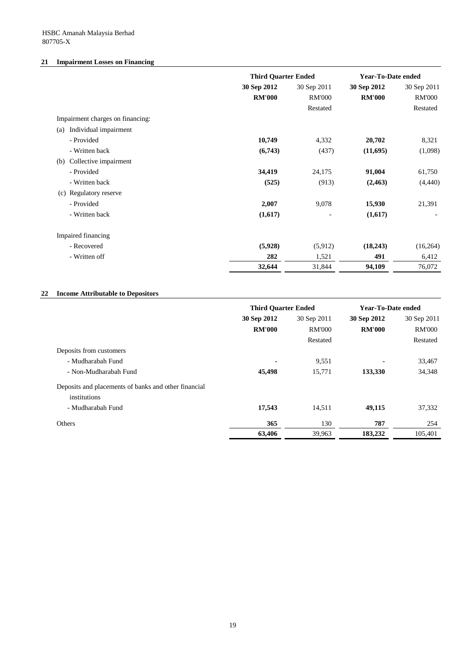HSBC Amanah Malaysia Berhad 807705-X

## **21 Impairment Losses on Financing**

|                                  | <b>Third Quarter Ended</b> |               | <b>Year-To-Date ended</b> |               |
|----------------------------------|----------------------------|---------------|---------------------------|---------------|
|                                  | 30 Sep 2012                | 30 Sep 2011   | 30 Sep 2012               | 30 Sep 2011   |
|                                  | <b>RM'000</b>              | <b>RM'000</b> | <b>RM'000</b>             | <b>RM'000</b> |
|                                  |                            | Restated      |                           | Restated      |
| Impairment charges on financing: |                            |               |                           |               |
| Individual impairment<br>(a)     |                            |               |                           |               |
| - Provided                       | 10,749                     | 4,332         | 20,702                    | 8,321         |
| - Written back                   | (6,743)                    | (437)         | (11,695)                  | (1,098)       |
| Collective impairment<br>(b)     |                            |               |                           |               |
| - Provided                       | 34,419                     | 24,175        | 91,004                    | 61,750        |
| - Written back                   | (525)                      | (913)         | (2, 463)                  | (4, 440)      |
| (c) Regulatory reserve           |                            |               |                           |               |
| - Provided                       | 2,007                      | 9,078         | 15,930                    | 21,391        |
| - Written back                   | (1,617)                    |               | (1,617)                   |               |
| Impaired financing               |                            |               |                           |               |
| - Recovered                      | (5,928)                    | (5,912)       | (18,243)                  | (16,264)      |
| - Written off                    | 282                        | 1,521         | 491                       | 6,412         |
|                                  | 32,644                     | 31,844        | 94,109                    | 76,072        |

## **22 Income Attributable to Depositors**

|                                                      | <b>Third Quarter Ended</b> |               | <b>Year-To-Date ended</b> |               |
|------------------------------------------------------|----------------------------|---------------|---------------------------|---------------|
|                                                      | 30 Sep 2012                | 30 Sep 2011   | 30 Sep 2012               | 30 Sep 2011   |
|                                                      | <b>RM'000</b>              | <b>RM'000</b> | <b>RM'000</b>             | <b>RM'000</b> |
|                                                      |                            | Restated      |                           | Restated      |
| Deposits from customers                              |                            |               |                           |               |
| - Mudharabah Fund                                    | $\blacksquare$             | 9,551         |                           | 33,467        |
| - Non-Mudharabah Fund                                | 45,498                     | 15,771        | 133,330                   | 34,348        |
| Deposits and placements of banks and other financial |                            |               |                           |               |
| institutions                                         |                            |               |                           |               |
| - Mudharabah Fund                                    | 17,543                     | 14,511        | 49,115                    | 37,332        |
| Others                                               | 365                        | 130           | 787                       | 254           |
|                                                      | 63,406                     | 39,963        | 183,232                   | 105,401       |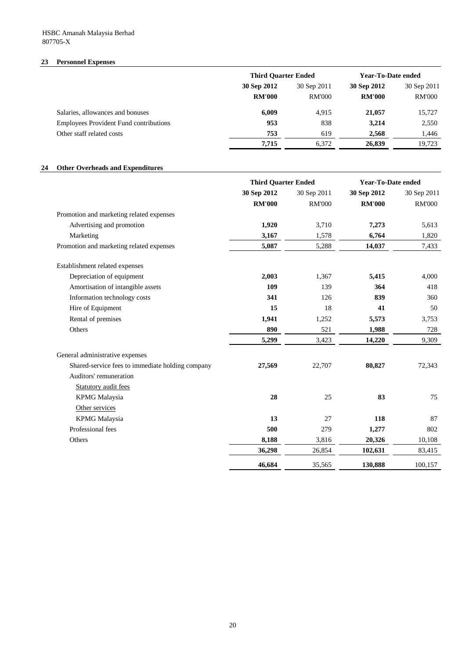## **23 Personnel Expenses**

## **24 Other Overheads and Expenditures**

|                                               | <b>Third Quarter Ended</b> |               | <b>Year-To-Date ended</b> |               |             |
|-----------------------------------------------|----------------------------|---------------|---------------------------|---------------|-------------|
|                                               | 30 Sep 2012                |               | 30 Sep 2011               | 30 Sep 2012   | 30 Sep 2011 |
|                                               | <b>RM'000</b>              | <b>RM'000</b> | <b>RM'000</b>             | <b>RM'000</b> |             |
| Salaries, allowances and bonuses              | 6,009                      | 4,915         | 21,057                    | 15,727        |             |
| <b>Employees Provident Fund contributions</b> | 953                        | 838           | 3,214                     | 2,550         |             |
| Other staff related costs                     | 753                        | 619           | 2,568                     | 1,446         |             |
|                                               | 7,715                      | 6,372         | 26,839                    | 19,723        |             |

|                                                  | <b>Third Quarter Ended</b> |               | <b>Year-To-Date ended</b> |               |
|--------------------------------------------------|----------------------------|---------------|---------------------------|---------------|
|                                                  | 30 Sep 2012                | 30 Sep 2011   | 30 Sep 2012               | 30 Sep 2011   |
|                                                  | <b>RM'000</b>              | <b>RM'000</b> | <b>RM'000</b>             | <b>RM'000</b> |
| Promotion and marketing related expenses         |                            |               |                           |               |
| Advertising and promotion                        | 1,920                      | 3,710         | 7,273                     | 5,613         |
| Marketing                                        | 3,167                      | 1,578         | 6,764                     | 1,820         |
| Promotion and marketing related expenses         | 5,087                      | 5,288         | 14,037                    | 7,433         |
| Establishment related expenses                   |                            |               |                           |               |
| Depreciation of equipment                        | 2,003                      | 1,367         | 5,415                     | 4,000         |
| Amortisation of intangible assets                | 109                        | 139           | 364                       | 418           |
| Information technology costs                     | 341                        | 126           | 839                       | 360           |
| Hire of Equipment                                | 15                         | 18            | 41                        | 50            |
| Rental of premises                               | 1,941                      | 1,252         | 5,573                     | 3,753         |
| Others                                           | 890                        | 521           | 1,988                     | 728           |
|                                                  | 5,299                      | 3,423         | 14,220                    | 9,309         |
| General administrative expenses                  |                            |               |                           |               |
| Shared-service fees to immediate holding company | 27,569                     | 22,707        | 80,827                    | 72,343        |
| Auditors' remuneration                           |                            |               |                           |               |
| <b>Statutory audit fees</b>                      |                            |               |                           |               |
| <b>KPMG</b> Malaysia                             | 28                         | 25            | 83                        | 75            |
| Other services                                   |                            |               |                           |               |
| <b>KPMG</b> Malaysia                             | 13                         | 27            | 118                       | 87            |
| Professional fees                                | 500                        | 279           | 1,277                     | 802           |
| Others                                           | 8,188                      | 3,816         | 20,326                    | 10,108        |
|                                                  | 36,298                     | 26,854        | 102,631                   | 83,415        |
|                                                  | 46,684                     | 35,565        | 130,888                   | 100,157       |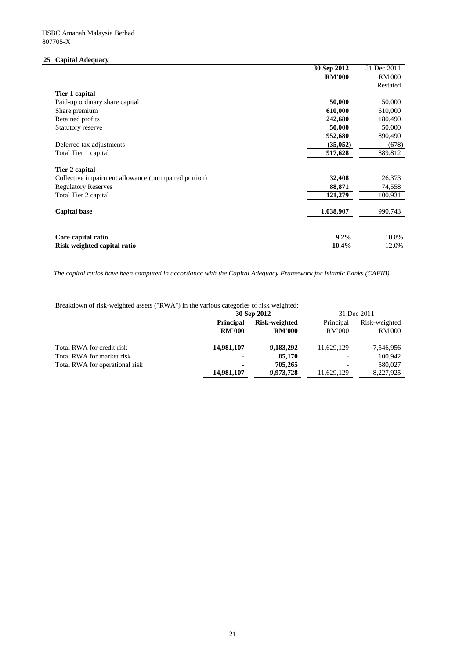## **25 Capital Adequacy**

|                                                      | 30 Sep 2012   | 31 Dec 2011   |
|------------------------------------------------------|---------------|---------------|
|                                                      | <b>RM'000</b> | <b>RM'000</b> |
|                                                      |               | Restated      |
| Tier 1 capital                                       |               |               |
| Paid-up ordinary share capital                       | 50,000        | 50,000        |
| Share premium                                        | 610,000       | 610,000       |
| Retained profits                                     | 242,680       | 180,490       |
| <b>Statutory reserve</b>                             | 50,000        | 50,000        |
|                                                      | 952,680       | 890,490       |
| Deferred tax adjustments                             | (35,052)      | (678)         |
| Total Tier 1 capital                                 | 917,628       | 889,812       |
| Tier 2 capital                                       |               |               |
| Collective impairment allowance (unimpaired portion) | 32,408        | 26,373        |
| <b>Regulatory Reserves</b>                           | 88,871        | 74,558        |
| Total Tier 2 capital                                 | 121,279       | 100,931       |
| <b>Capital base</b>                                  | 1,038,907     | 990,743       |
| Core capital ratio                                   | 9.2%          | 10.8%         |
| Risk-weighted capital ratio                          | 10.4%         | 12.0%         |

The capital ratios have been computed in accordance with the Capital Adequacy Framework for Islamic Banks (CAFIB).

Breakdown of risk-weighted assets ("RWA") in the various categories of risk weighted:

|                                | 30 Sep 2012      |               | 31 Dec 2011              |               |
|--------------------------------|------------------|---------------|--------------------------|---------------|
|                                | <b>Principal</b> | Risk-weighted | Principal                | Risk-weighted |
|                                | <b>RM'000</b>    | <b>RM'000</b> | <b>RM'000</b>            | <b>RM'000</b> |
| Total RWA for credit risk      | 14,981,107       | 9,183,292     | 11,629,129               | 7,546,956     |
| Total RWA for market risk      | $\blacksquare$   | 85,170        | $\overline{\phantom{a}}$ | 100,942       |
| Total RWA for operational risk | $\blacksquare$   | 705,265       | $\overline{\phantom{a}}$ | 580,027       |
|                                | 14,981,107       | 9,973,728     | 11,629,129               | 8,227,925     |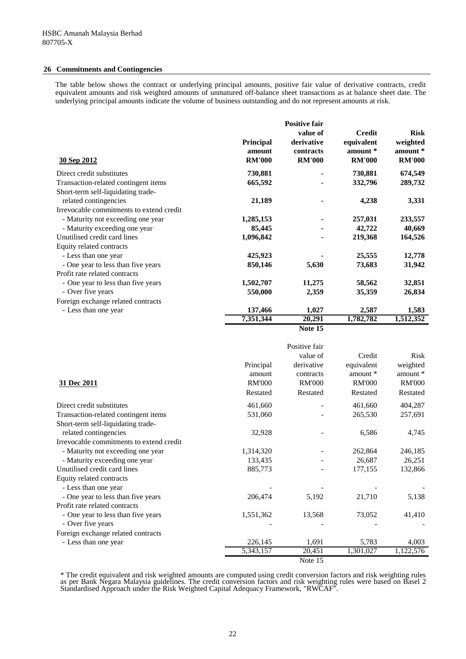#### **26 Commitments and Contingencies**

The table below shows the contract or underlying principal amounts, positive fair value of derivative contracts, credit equivalent amounts and risk weighted amounts of unmatured off-balance sheet transactions as at balance sheet date. The underlying principal amounts indicate the volume of business outstanding and do not represent amounts at risk.

| 30 Sep 2012                              | <b>Principal</b><br>amount<br><b>RM'000</b> | <b>Positive fair</b><br>value of<br>derivative<br>contracts<br><b>RM'000</b> | <b>Credit</b><br>equivalent<br>amount*<br><b>RM'000</b> | <b>Risk</b><br>weighted<br>amount *<br><b>RM'000</b> |
|------------------------------------------|---------------------------------------------|------------------------------------------------------------------------------|---------------------------------------------------------|------------------------------------------------------|
| Direct credit substitutes                | 730,881                                     |                                                                              | 730,881                                                 | 674,549                                              |
| Transaction-related contingent items     | 665,592                                     |                                                                              | 332,796                                                 | 289,732                                              |
| Short-term self-liquidating trade-       |                                             |                                                                              |                                                         |                                                      |
| related contingencies                    | 21,189                                      |                                                                              | 4,238                                                   | 3,331                                                |
| Irrevocable commitments to extend credit |                                             |                                                                              |                                                         |                                                      |
| - Maturity not exceeding one year        | 1,285,153                                   |                                                                              | 257,031                                                 | 233,557                                              |
| - Maturity exceeding one year            | 85,445                                      |                                                                              | 42,722                                                  | 40,669                                               |
| Unutilised credit card lines             | 1,096,842                                   |                                                                              | 219,368                                                 | 164,526                                              |
| Equity related contracts                 |                                             |                                                                              |                                                         |                                                      |
| - Less than one year                     | 425,923                                     |                                                                              | 25,555                                                  | 12,778                                               |
| - One year to less than five years       | 850,146                                     | 5,630                                                                        | 73,683                                                  | 31,942                                               |
| Profit rate related contracts            |                                             |                                                                              |                                                         |                                                      |
| - One year to less than five years       | 1,502,707                                   | 11,275                                                                       | 58,562                                                  | 32,851                                               |
| - Over five years                        | 550,000                                     | 2,359                                                                        | 35,359                                                  | 26,834                                               |
| Foreign exchange related contracts       |                                             |                                                                              |                                                         |                                                      |
| - Less than one year                     | 137,466                                     | 1,027                                                                        | 2,587                                                   | 1,583                                                |
|                                          | 7,351,344                                   | 20,291                                                                       | 1,782,782                                               | 1,512,352                                            |
|                                          |                                             | Note 15                                                                      |                                                         |                                                      |

| 31 Dec 2011                              | Principal<br>amount<br><b>RM'000</b><br>Restated | Positive fair<br>value of<br>derivative<br>contracts<br><b>RM'000</b><br>Restated | Credit<br>equivalent<br>amount *<br><b>RM'000</b><br>Restated | <b>Risk</b><br>weighted<br>amount *<br><b>RM'000</b><br>Restated |
|------------------------------------------|--------------------------------------------------|-----------------------------------------------------------------------------------|---------------------------------------------------------------|------------------------------------------------------------------|
| Direct credit substitutes                | 461,660                                          |                                                                                   | 461,660                                                       | 404,287                                                          |
| Transaction-related contingent items     | 531,060                                          |                                                                                   | 265,530                                                       | 257,691                                                          |
| Short-term self-liquidating trade-       |                                                  |                                                                                   |                                                               |                                                                  |
| related contingencies                    | 32,928                                           |                                                                                   | 6,586                                                         | 4,745                                                            |
| Irrevocable commitments to extend credit |                                                  |                                                                                   |                                                               |                                                                  |
| - Maturity not exceeding one year        | 1,314,320                                        |                                                                                   | 262,864                                                       | 246,185                                                          |
| - Maturity exceeding one year            | 133,435                                          |                                                                                   | 26,687                                                        | 26,251                                                           |
| Unutilised credit card lines             | 885,773                                          |                                                                                   | 177,155                                                       | 132,866                                                          |
| Equity related contracts                 |                                                  |                                                                                   |                                                               |                                                                  |
| - Less than one year                     |                                                  |                                                                                   |                                                               |                                                                  |
| - One year to less than five years       | 206,474                                          | 5,192                                                                             | 21,710                                                        | 5,138                                                            |
| Profit rate related contracts            |                                                  |                                                                                   |                                                               |                                                                  |
| - One year to less than five years       | 1,551,362                                        | 13,568                                                                            | 73,052                                                        | 41,410                                                           |
| - Over five years                        |                                                  |                                                                                   |                                                               |                                                                  |
| Foreign exchange related contracts       |                                                  |                                                                                   |                                                               |                                                                  |
| - Less than one year                     | 226,145                                          | 1,691                                                                             | 5,783                                                         | 4,003                                                            |
|                                          | 5,343,157                                        | 20,451                                                                            | 1,301,027                                                     | 1,122,576                                                        |
|                                          |                                                  | Note 15                                                                           |                                                               |                                                                  |

\* The credit equivalent and risk weighted amounts are computed using credit conversion factors and risk weighting rules as per Bank Negara Malaysia guidelines. The credit conversion factors and risk weighting rules were based on Basel 2 Standardised Approach under the Risk Weighted Capital Adequacy Framework, "RWCAF".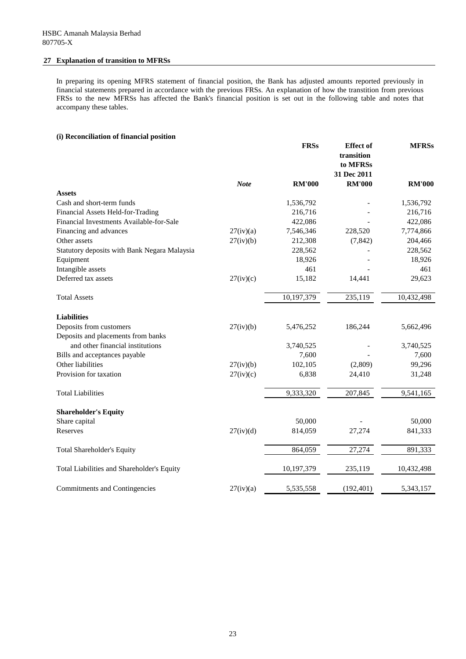### **27 Explanation of transition to MFRSs**

In preparing its opening MFRS statement of financial position, the Bank has adjusted amounts reported previously in financial statements prepared in accordance with the previous FRSs. An explanation of how the transtition from previous FRSs to the new MFRSs has affected the Bank's financial position is set out in the following table and notes that accompany these tables.

## **(i) Reconciliation of financial position**

|                                                     |             | <b>FRSs</b>   | <b>Effect</b> of<br>transition<br>to MFRSs<br>31 Dec 2011 | <b>MFRSs</b>  |
|-----------------------------------------------------|-------------|---------------|-----------------------------------------------------------|---------------|
|                                                     | <b>Note</b> | <b>RM'000</b> | <b>RM'000</b>                                             | <b>RM'000</b> |
| <b>Assets</b>                                       |             |               |                                                           |               |
| Cash and short-term funds                           |             | 1,536,792     |                                                           | 1,536,792     |
| Financial Assets Held-for-Trading                   |             | 216,716       |                                                           | 216,716       |
| Financial Investments Available-for-Sale            |             | 422,086       |                                                           | 422,086       |
| Financing and advances                              | 27(iv)(a)   | 7,546,346     | 228,520                                                   | 7,774,866     |
| Other assets                                        | 27(iv)(b)   | 212,308       | (7, 842)                                                  | 204,466       |
| <b>Statutory deposits with Bank Negara Malaysia</b> |             | 228,562       |                                                           | 228,562       |
| Equipment                                           |             | 18,926        |                                                           | 18,926        |
| Intangible assets                                   |             | 461           |                                                           | 461           |
| Deferred tax assets                                 | 27(iv)(c)   | 15,182        | 14,441                                                    | 29,623        |
| <b>Total Assets</b>                                 |             | 10,197,379    | 235,119                                                   | 10,432,498    |
| <b>Liabilities</b>                                  |             |               |                                                           |               |
| Deposits from customers                             | 27(iv)(b)   | 5,476,252     | 186,244                                                   | 5,662,496     |
| Deposits and placements from banks                  |             |               |                                                           |               |
| and other financial institutions                    |             | 3,740,525     |                                                           | 3,740,525     |
| Bills and acceptances payable                       |             | 7,600         |                                                           | 7,600         |
| Other liabilities                                   | 27(iv)(b)   | 102,105       | (2,809)                                                   | 99,296        |
| Provision for taxation                              | 27(iv)(c)   | 6,838         | 24,410                                                    | 31,248        |
| <b>Total Liabilities</b>                            |             | 9,333,320     | 207,845                                                   | 9,541,165     |
| <b>Shareholder's Equity</b>                         |             |               |                                                           |               |
| Share capital                                       |             | 50,000        |                                                           | 50,000        |
| Reserves                                            | 27(iv)(d)   | 814,059       | 27,274                                                    | 841,333       |
| <b>Total Shareholder's Equity</b>                   |             | 864,059       | 27,274                                                    | 891,333       |
| Total Liabilities and Shareholder's Equity          |             | 10,197,379    | 235,119                                                   | 10,432,498    |
| <b>Commitments and Contingencies</b>                | 27(iv)(a)   | 5,535,558     | (192, 401)                                                | 5,343,157     |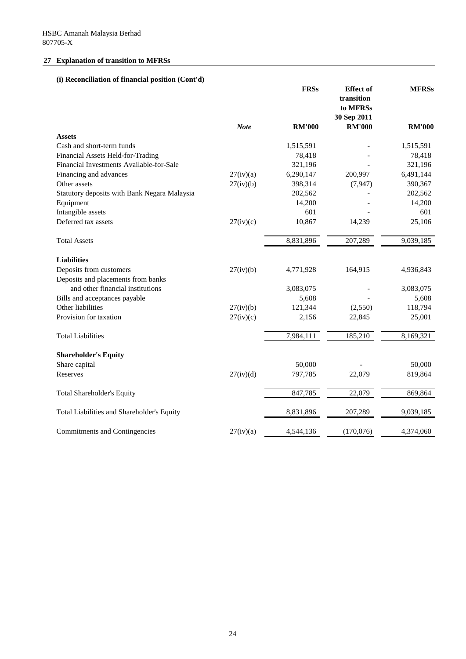## **27 Explanation of transition to MFRSs**

# **(i) Reconciliation of financial position (Cont'd)**

|                                              |             | <b>FRSs</b>   | <b>Effect</b> of<br>transition<br>to MFRSs<br>30 Sep 2011 | <b>MFRSs</b>  |
|----------------------------------------------|-------------|---------------|-----------------------------------------------------------|---------------|
|                                              | <b>Note</b> | <b>RM'000</b> | <b>RM'000</b>                                             | <b>RM'000</b> |
| <b>Assets</b>                                |             |               |                                                           |               |
| Cash and short-term funds                    |             | 1,515,591     |                                                           | 1,515,591     |
| Financial Assets Held-for-Trading            |             | 78,418        |                                                           | 78,418        |
| Financial Investments Available-for-Sale     |             | 321,196       |                                                           | 321,196       |
| Financing and advances                       | 27(iv)(a)   | 6,290,147     | 200,997                                                   | 6,491,144     |
| Other assets                                 | 27(iv)(b)   | 398,314       | (7, 947)                                                  | 390,367       |
| Statutory deposits with Bank Negara Malaysia |             | 202,562       |                                                           | 202,562       |
| Equipment                                    |             | 14,200        |                                                           | 14,200        |
| Intangible assets                            |             | 601           |                                                           | 601           |
| Deferred tax assets                          | 27(iv)(c)   | 10,867        | 14,239                                                    | 25,106        |
| <b>Total Assets</b>                          |             | 8,831,896     | 207,289                                                   | 9,039,185     |
| <b>Liabilities</b>                           |             |               |                                                           |               |
| Deposits from customers                      | 27(iv)(b)   | 4,771,928     | 164,915                                                   | 4,936,843     |
| Deposits and placements from banks           |             |               |                                                           |               |
| and other financial institutions             |             | 3,083,075     |                                                           | 3,083,075     |
| Bills and acceptances payable                |             | 5,608         |                                                           | 5,608         |
| Other liabilities                            | 27(iv)(b)   | 121,344       | (2,550)                                                   | 118,794       |
| Provision for taxation                       | 27(iv)(c)   | 2,156         | 22,845                                                    | 25,001        |
| <b>Total Liabilities</b>                     |             | 7,984,111     | 185,210                                                   | 8,169,321     |
| <b>Shareholder's Equity</b>                  |             |               |                                                           |               |
| Share capital                                |             | 50,000        |                                                           | 50,000        |
| Reserves                                     | 27(iv)(d)   | 797,785       | 22,079                                                    | 819,864       |
| <b>Total Shareholder's Equity</b>            |             | 847,785       | 22,079                                                    | 869,864       |
| Total Liabilities and Shareholder's Equity   |             | 8,831,896     | 207,289                                                   | 9,039,185     |
| <b>Commitments and Contingencies</b>         | 27(iv)(a)   | 4,544,136     | (170,076)                                                 | 4,374,060     |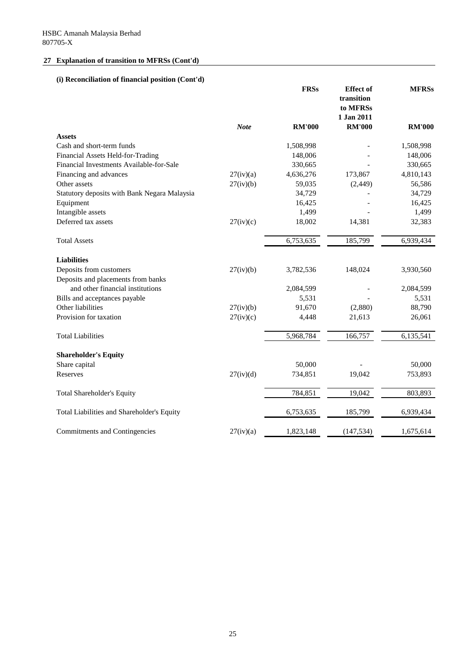# **(i) Reconciliation of financial position (Cont'd)**

|                                              |             | <b>FRSs</b>   | <b>Effect</b> of<br>transition<br>to MFRSs<br>1 Jan 2011 | <b>MFRSs</b>  |
|----------------------------------------------|-------------|---------------|----------------------------------------------------------|---------------|
|                                              | <b>Note</b> | <b>RM'000</b> | <b>RM'000</b>                                            | <b>RM'000</b> |
| <b>Assets</b>                                |             |               |                                                          |               |
| Cash and short-term funds                    |             | 1,508,998     |                                                          | 1,508,998     |
| Financial Assets Held-for-Trading            |             | 148,006       |                                                          | 148,006       |
| Financial Investments Available-for-Sale     |             | 330,665       |                                                          | 330,665       |
| Financing and advances                       | 27(iv)(a)   | 4,636,276     | 173,867                                                  | 4,810,143     |
| Other assets                                 | 27(iv)(b)   | 59,035        | (2,449)                                                  | 56,586        |
| Statutory deposits with Bank Negara Malaysia |             | 34,729        |                                                          | 34,729        |
| Equipment                                    |             | 16,425        |                                                          | 16,425        |
| Intangible assets                            |             | 1,499         |                                                          | 1,499         |
| Deferred tax assets                          | 27(iv)(c)   | 18,002        | 14,381                                                   | 32,383        |
| <b>Total Assets</b>                          |             | 6,753,635     | 185,799                                                  | 6,939,434     |
| <b>Liabilities</b>                           |             |               |                                                          |               |
| Deposits from customers                      | 27(iv)(b)   | 3,782,536     | 148,024                                                  | 3,930,560     |
| Deposits and placements from banks           |             |               |                                                          |               |
| and other financial institutions             |             | 2,084,599     |                                                          | 2,084,599     |
| Bills and acceptances payable                |             | 5,531         |                                                          | 5,531         |
| Other liabilities                            | 27(iv)(b)   | 91,670        | (2,880)                                                  | 88,790        |
| Provision for taxation                       | 27(iv)(c)   | 4,448         | 21,613                                                   | 26,061        |
| <b>Total Liabilities</b>                     |             | 5,968,784     | 166,757                                                  | 6,135,541     |
| <b>Shareholder's Equity</b>                  |             |               |                                                          |               |
| Share capital                                |             | 50,000        |                                                          | 50,000        |
| Reserves                                     | 27(iv)(d)   | 734,851       | 19,042                                                   | 753,893       |
| <b>Total Shareholder's Equity</b>            |             | 784,851       | 19,042                                                   | 803,893       |
| Total Liabilities and Shareholder's Equity   |             | 6,753,635     | 185,799                                                  | 6,939,434     |
| <b>Commitments and Contingencies</b>         | 27(iv)(a)   | 1,823,148     | (147, 534)                                               | 1,675,614     |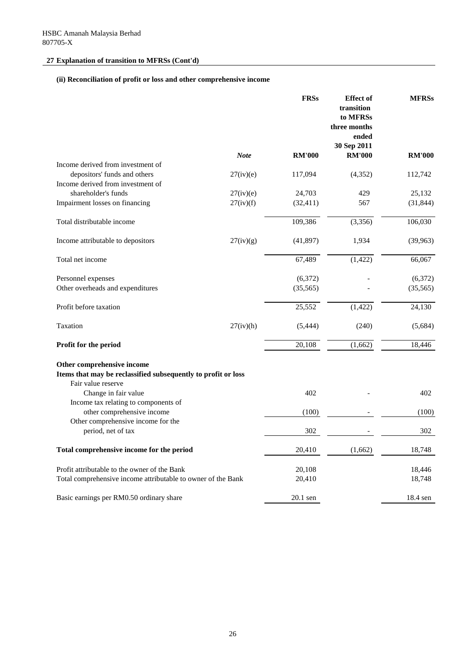# **(ii) Reconciliation of profit or loss and other comprehensive income**

|                                                                  |             | <b>FRSs</b>   | <b>Effect of</b><br>transition<br>to MFRSs<br>three months<br>ended<br>30 Sep 2011 | <b>MFRSs</b>  |
|------------------------------------------------------------------|-------------|---------------|------------------------------------------------------------------------------------|---------------|
|                                                                  | <b>Note</b> | <b>RM'000</b> | <b>RM'000</b>                                                                      | <b>RM'000</b> |
| Income derived from investment of                                |             |               |                                                                                    |               |
| depositors' funds and others                                     | 27(iv)(e)   | 117,094       | (4, 352)                                                                           | 112,742       |
| Income derived from investment of                                |             |               |                                                                                    |               |
| shareholder's funds                                              | 27(iv)(e)   | 24,703        | 429                                                                                | 25,132        |
| Impairment losses on financing                                   | 27(iv)(f)   | (32, 411)     | 567                                                                                | (31, 844)     |
| Total distributable income                                       |             | 109,386       | (3,356)                                                                            | 106,030       |
| Income attributable to depositors                                | 27(iv)(g)   | (41, 897)     | 1,934                                                                              | (39,963)      |
| Total net income                                                 |             | 67,489        | (1, 422)                                                                           | 66,067        |
| Personnel expenses                                               |             | (6,372)       |                                                                                    | (6,372)       |
| Other overheads and expenditures                                 |             | (35, 565)     |                                                                                    | (35, 565)     |
| Profit before taxation                                           |             | 25,552        | (1, 422)                                                                           | 24,130        |
| Taxation                                                         | 27(iv)(h)   | (5,444)       | (240)                                                                              | (5,684)       |
| Profit for the period                                            |             | 20,108        | (1,662)                                                                            | 18,446        |
| Other comprehensive income                                       |             |               |                                                                                    |               |
| Items that may be reclassified subsequently to profit or loss    |             |               |                                                                                    |               |
| Fair value reserve                                               |             |               |                                                                                    |               |
| Change in fair value                                             |             | 402           |                                                                                    | 402           |
| Income tax relating to components of                             |             |               |                                                                                    |               |
| other comprehensive income<br>Other comprehensive income for the |             | (100)         |                                                                                    | (100)         |
| period, net of tax                                               |             | 302           |                                                                                    | 302           |
| Total comprehensive income for the period                        |             | 20,410        | (1,662)                                                                            | 18,748        |
|                                                                  |             |               |                                                                                    |               |
| Profit attributable to the owner of the Bank                     |             | 20,108        |                                                                                    | 18,446        |
| Total comprehensive income attributable to owner of the Bank     |             | 20,410        |                                                                                    | 18,748        |
| Basic earnings per RM0.50 ordinary share                         |             | 20.1 sen      |                                                                                    | 18.4 sen      |

<u> 1980 - Johann Barn, mars ann an t-Amhain Aonaich an t-Aonaich an t-Aonaich ann an t-Aonaich ann an t-Aonaich</u>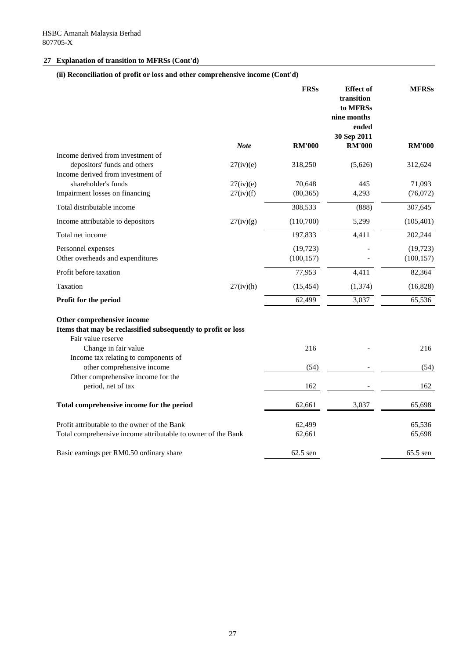# **(ii) Reconciliation of profit or loss and other comprehensive income (Cont'd)**

|                                                                                                                   |             | <b>FRSs</b>   | <b>Effect of</b><br>transition<br>to MFRSs<br>nine months<br>ended | <b>MFRSs</b>  |
|-------------------------------------------------------------------------------------------------------------------|-------------|---------------|--------------------------------------------------------------------|---------------|
|                                                                                                                   | <b>Note</b> | <b>RM'000</b> | 30 Sep 2011<br><b>RM'000</b>                                       | <b>RM'000</b> |
| Income derived from investment of                                                                                 |             |               |                                                                    |               |
| depositors' funds and others                                                                                      | 27(iv)(e)   | 318,250       | (5,626)                                                            | 312,624       |
| Income derived from investment of                                                                                 |             |               |                                                                    |               |
| shareholder's funds                                                                                               | 27(iv)(e)   | 70,648        | 445                                                                | 71,093        |
| Impairment losses on financing                                                                                    | 27(iv)(f)   | (80, 365)     | 4,293                                                              | (76,072)      |
| Total distributable income                                                                                        |             | 308,533       | (888)                                                              | 307,645       |
| Income attributable to depositors                                                                                 | 27(iv)(g)   | (110,700)     | 5,299                                                              | (105, 401)    |
| Total net income                                                                                                  |             | 197,833       | 4,411                                                              | 202,244       |
| Personnel expenses                                                                                                |             | (19, 723)     |                                                                    | (19,723)      |
| Other overheads and expenditures                                                                                  |             | (100, 157)    |                                                                    | (100, 157)    |
| Profit before taxation                                                                                            |             | 77,953        | 4,411                                                              | 82,364        |
| Taxation                                                                                                          | 27(iv)(h)   | (15, 454)     | (1,374)                                                            | (16,828)      |
| Profit for the period                                                                                             |             | 62,499        | 3,037                                                              | 65,536        |
| Other comprehensive income<br>Items that may be reclassified subsequently to profit or loss<br>Fair value reserve |             |               |                                                                    |               |
| Change in fair value                                                                                              |             | 216           |                                                                    | 216           |
| Income tax relating to components of                                                                              |             |               |                                                                    |               |
| other comprehensive income                                                                                        |             | (54)          |                                                                    | (54)          |
| Other comprehensive income for the<br>period, net of tax                                                          |             | 162           |                                                                    | 162           |
| Total comprehensive income for the period                                                                         |             | 62,661        | 3,037                                                              | 65,698        |
|                                                                                                                   |             |               |                                                                    |               |
| Profit attributable to the owner of the Bank                                                                      |             | 62,499        |                                                                    | 65,536        |
| Total comprehensive income attributable to owner of the Bank                                                      |             | 62,661        |                                                                    | 65,698        |
| Basic earnings per RM0.50 ordinary share                                                                          |             | $62.5$ sen    |                                                                    | $65.5$ sen    |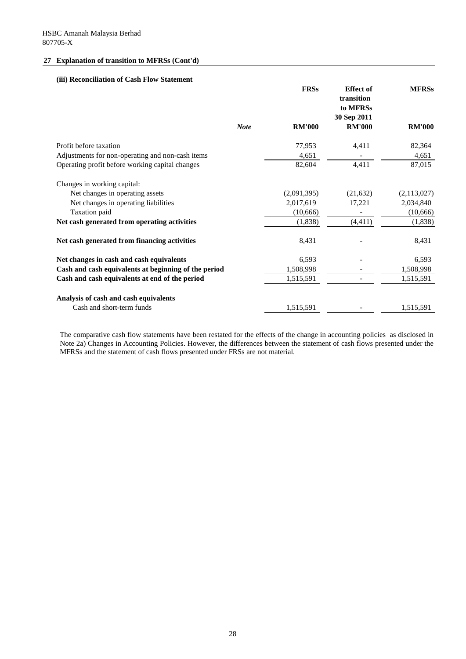### **(iii) Reconciliation of Cash Flow Statement**

|                                                      | <b>FRSs</b>   | <b>Effect of</b><br>transition<br>to MFRSs<br>30 Sep 2011 | <b>MFRSs</b>  |
|------------------------------------------------------|---------------|-----------------------------------------------------------|---------------|
| <b>Note</b>                                          | <b>RM'000</b> | <b>RM'000</b>                                             | <b>RM'000</b> |
| Profit before taxation                               | 77,953        | 4,411                                                     | 82,364        |
| Adjustments for non-operating and non-cash items     | 4,651         |                                                           | 4,651         |
| Operating profit before working capital changes      | 82,604        | 4,411                                                     | 87,015        |
| Changes in working capital:                          |               |                                                           |               |
| Net changes in operating assets                      | (2,091,395)   | (21, 632)                                                 | (2,113,027)   |
| Net changes in operating liabilities                 | 2,017,619     | 17,221                                                    | 2,034,840     |
| Taxation paid                                        | (10,666)      |                                                           | (10,666)      |
| Net cash generated from operating activities         | (1,838)       | (4, 411)                                                  | (1,838)       |
| Net cash generated from financing activities         | 8,431         |                                                           | 8,431         |
| Net changes in cash and cash equivalents             | 6,593         |                                                           | 6,593         |
| Cash and cash equivalents at beginning of the period | 1,508,998     |                                                           | 1,508,998     |
| Cash and cash equivalents at end of the period       | 1,515,591     |                                                           | 1,515,591     |
| Analysis of cash and cash equivalents                |               |                                                           |               |
| Cash and short-term funds                            | 1,515,591     |                                                           | 1,515,591     |

The comparative cash flow statements have been restated for the effects of the change in accounting policies as disclosed in Note 2a) Changes in Accounting Policies. However, the differences between the statement of cash flows presented under the MFRSs and the statement of cash flows presented under FRSs are not material.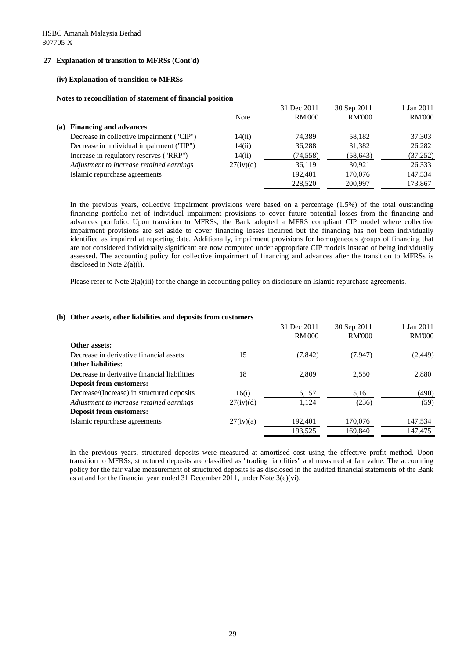#### **(iv) Explanation of transition to MFRSs**

#### **Notes to reconciliation of statement of financial position**

|     |                                           |             | 31 Dec 2011   | 30 Sep 2011   | 1 Jan 2011    |
|-----|-------------------------------------------|-------------|---------------|---------------|---------------|
|     |                                           | <b>Note</b> | <b>RM'000</b> | <b>RM'000</b> | <b>RM'000</b> |
| (a) | <b>Financing and advances</b>             |             |               |               |               |
|     | Decrease in collective impairment ("CIP") | 14(ii)      | 74,389        | 58,182        | 37,303        |
|     | Decrease in individual impairment ("IIP") | 14(ii)      | 36,288        | 31,382        | 26,282        |
|     | Increase in regulatory reserves ("RRP")   | 14(ii)      | (74, 558)     | (58, 643)     | (37, 252)     |
|     | Adjustment to increase retained earnings  | 27(iv)(d)   | 36,119        | 30,921        | 26,333        |
|     | Islamic repurchase agreements             |             | 192,401       | 170,076       | 147,534       |
|     |                                           |             | 228,520       | 200,997       | 173,867       |

In the previous years, collective impairment provisions were based on a percentage (1.5%) of the total outstanding financing portfolio net of individual impairment provisions to cover future potential losses from the financing and advances portfolio. Upon transition to MFRSs, the Bank adopted a MFRS compliant CIP model where collective impairment provisions are set aside to cover financing losses incurred but the financing has not been individually identified as impaired at reporting date. Additionally, impairment provisions for homogeneous groups of financing that are not considered individually significant are now computed under appropriate CIP models instead of being individually assessed. The accounting policy for collective impairment of financing and advances after the transition to MFRSs is disclosed in Note 2(a)(i).

Please refer to Note 2(a)(iii) for the change in accounting policy on disclosure on Islamic repurchase agreements.

#### **(b) Other assets, other liabilities and deposits from customers**

|                                              |           | 31 Dec 2011   | 30 Sep 2011   | 1 Jan 2011    |
|----------------------------------------------|-----------|---------------|---------------|---------------|
|                                              |           | <b>RM'000</b> | <b>RM'000</b> | <b>RM'000</b> |
| Other assets:                                |           |               |               |               |
| Decrease in derivative financial assets      | 15        | (7, 842)      | (7, 947)      | (2, 449)      |
| <b>Other liabilities:</b>                    |           |               |               |               |
| Decrease in derivative financial liabilities | 18        | 2,809         | 2,550         | 2,880         |
| <b>Deposit from customers:</b>               |           |               |               |               |
| Decrease/(Increase) in structured deposits   | 16(i)     | 6,157         | 5,161         | (490)         |
| Adjustment to increase retained earnings     | 27(iv)(d) | 1,124         | (236)         | (59)          |
| <b>Deposit from customers:</b>               |           |               |               |               |
| Islamic repurchase agreements                | 27(iv)(a) | 192,401       | 170,076       | 147,534       |
|                                              |           | 193,525       | 169,840       | 147,475       |

In the previous years, structured deposits were measured at amortised cost using the effective profit method. Upon transition to MFRSs, structured deposits are classified as "trading liabilities" and measured at fair value. The accounting policy for the fair value measurement of structured deposits is as disclosed in the audited financial statements of the Bank as at and for the financial year ended 31 December 2011, under Note 3(e)(vi).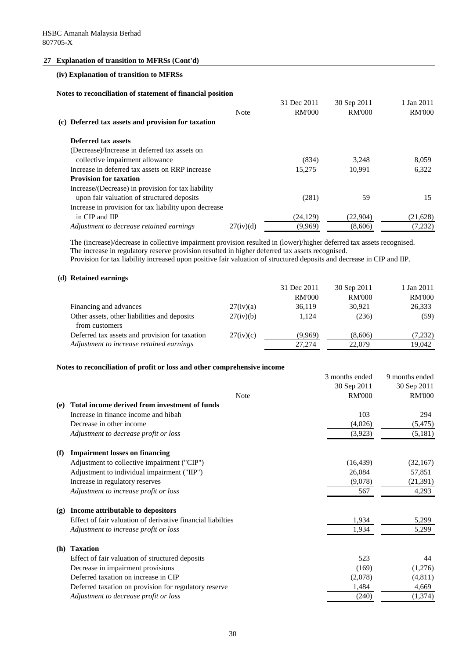### **(iv) Explanation of transition to MFRSs**

#### **Notes to reconciliation of statement of financial position**

|                                                       |             | 31 Dec 2011   | 30 Sep 2011   | 1 Jan 2011    |
|-------------------------------------------------------|-------------|---------------|---------------|---------------|
|                                                       | <b>Note</b> | <b>RM'000</b> | <b>RM'000</b> | <b>RM'000</b> |
| (c) Deferred tax assets and provision for taxation    |             |               |               |               |
| Deferred tax assets                                   |             |               |               |               |
| (Decrease)/Increase in deferred tax assets on         |             |               |               |               |
| collective impairment allowance                       |             | (834)         | 3,248         | 8,059         |
| Increase in deferred tax assets on RRP increase       |             | 15,275        | 10,991        | 6,322         |
| <b>Provision for taxation</b>                         |             |               |               |               |
| Increase/(Decrease) in provision for tax liability    |             |               |               |               |
| upon fair valuation of structured deposits            |             | (281)         | 59            | 15            |
| Increase in provision for tax liability upon decrease |             |               |               |               |
| in CIP and IIP                                        |             | (24, 129)     | (22,904)      | (21,628)      |
| Adjustment to decrease retained earnings              | 27(iv)(d)   | (9,969)       | (8,606)       | (7,232)       |
|                                                       |             |               |               |               |

The (increase)/decrease in collective impairment provision resulted in (lower)/higher deferred tax assets recognised. The increase in regulatory reserve provision resulted in higher deferred tax assets recognised.

Provision for tax liability increased upon positive fair valuation of structured deposits and decrease in CIP and IIP.

#### **(d) Retained earnings**

|                                                                |           | 31 Dec 2011   | 30 Sep 2011   | 1 Jan 2011    |
|----------------------------------------------------------------|-----------|---------------|---------------|---------------|
|                                                                |           | <b>RM'000</b> | <b>RM'000</b> | <b>RM'000</b> |
| Financing and advances                                         | 27(iv)(a) | 36,119        | 30,921        | 26,333        |
| Other assets, other liabilities and deposits<br>from customers | 27(iv)(b) | 1,124         | (236)         | (59)          |
| Deferred tax assets and provision for taxation                 | 27(iv)(c) | (9,969)       | (8,606)       | (7,232)       |
| Adjustment to increase retained earnings                       |           | 27,274        | 22,079        | 19,042        |

### **Notes to reconciliation of profit or loss and other comprehensive income**

|            |                                                             | 3 months ended | 9 months ended |
|------------|-------------------------------------------------------------|----------------|----------------|
|            |                                                             | 30 Sep 2011    | 30 Sep 2011    |
|            | <b>Note</b>                                                 | <b>RM'000</b>  | <b>RM'000</b>  |
| (e)        | Total income derived from investment of funds               |                |                |
|            | Increase in finance income and hibah                        | 103            | 294            |
|            | Decrease in other income                                    | (4,026)        | (5, 475)       |
|            | Adjustment to decrease profit or loss                       | (3,923)        | (5,181)        |
| (f)        | <b>Impairment losses on financing</b>                       |                |                |
|            | Adjustment to collective impairment ("CIP")                 | (16, 439)      | (32,167)       |
|            | Adjustment to individual impairment ("IIP")                 | 26,084         | 57,851         |
|            | Increase in regulatory reserves                             | (9,078)        | (21,391)       |
|            | Adjustment to increase profit or loss                       | 567            | 4,293          |
| (g)        | Income attributable to depositors                           |                |                |
|            | Effect of fair valuation of derivative financial liabilties | 1,934          | 5,299          |
|            | Adjustment to increase profit or loss                       | 1,934          | 5,299          |
| <b>(h)</b> | <b>Taxation</b>                                             |                |                |
|            | Effect of fair valuation of structured deposits             | 523            | 44             |
|            | Decrease in impairment provisions                           | (169)          | (1,276)        |
|            | Deferred taxation on increase in CIP                        | (2,078)        | (4,811)        |
|            | Deferred taxation on provision for regulatory reserve       | 1,484          | 4,669          |
|            | Adjustment to decrease profit or loss                       | (240)          | (1,374)        |